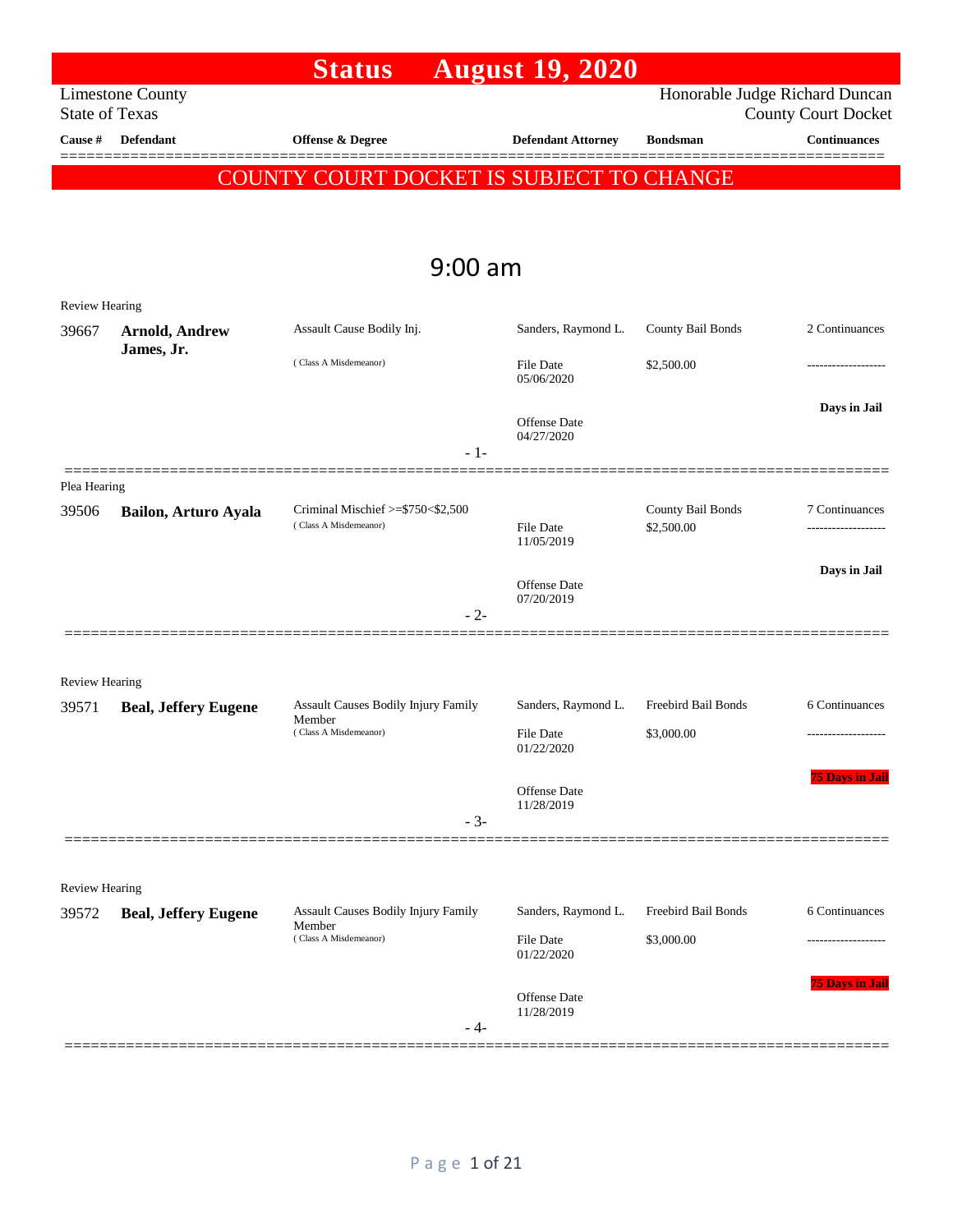|                                           | <b>Status</b>               | <b>August 19, 2020</b>    |                 |                                |  |  |  |
|-------------------------------------------|-----------------------------|---------------------------|-----------------|--------------------------------|--|--|--|
| Limestone County                          |                             |                           |                 | Honorable Judge Richard Duncan |  |  |  |
| State of Texas                            |                             |                           |                 | <b>County Court Docket</b>     |  |  |  |
| <b>Cause</b> #<br><b>Defendant</b>        | <b>Offense &amp; Degree</b> | <b>Defendant Attorney</b> | <b>Bondsman</b> | <b>Continuances</b>            |  |  |  |
| COUNTY COURT DOCKET IS SUBJECT TO CHANGE. |                             |                           |                 |                                |  |  |  |

## 9:00 am

| <b>Review Hearing</b> |                             |                                                                  |                                |                                 |                        |
|-----------------------|-----------------------------|------------------------------------------------------------------|--------------------------------|---------------------------------|------------------------|
| 39667                 | <b>Arnold, Andrew</b>       | Assault Cause Bodily Inj.                                        | Sanders, Raymond L.            | County Bail Bonds               | 2 Continuances         |
|                       | James, Jr.                  | (Class A Misdemeanor)                                            | File Date<br>05/06/2020        | \$2,500.00                      |                        |
|                       |                             | $-1-$                                                            | Offense Date<br>04/27/2020     |                                 | Days in Jail           |
| Plea Hearing          |                             |                                                                  |                                |                                 |                        |
| 39506                 | Bailon, Arturo Ayala        | Criminal Mischief $\ge$ \$750 < \$2,500<br>(Class A Misdemeanor) | File Date<br>11/05/2019        | County Bail Bonds<br>\$2,500.00 | 7 Continuances<br>.    |
|                       |                             | $-2-$                                                            | Offense Date<br>07/20/2019     |                                 | Days in Jail           |
|                       |                             |                                                                  |                                |                                 |                        |
| <b>Review Hearing</b> |                             |                                                                  |                                |                                 |                        |
| 39571                 | <b>Beal, Jeffery Eugene</b> | <b>Assault Causes Bodily Injury Family</b>                       | Sanders, Raymond L.            | Freebird Bail Bonds             | 6 Continuances         |
|                       |                             | Member<br>(Class A Misdemeanor)                                  | File Date<br>01/22/2020        | \$3,000.00                      | ---------------        |
|                       |                             | $-3-$                                                            | Offense Date<br>11/28/2019     |                                 | <b>75 Days in Jail</b> |
|                       |                             |                                                                  |                                |                                 |                        |
| <b>Review Hearing</b> |                             |                                                                  |                                |                                 |                        |
| 39572                 | <b>Beal, Jeffery Eugene</b> | <b>Assault Causes Bodily Injury Family</b><br>Member             | Sanders, Raymond L.            | Freebird Bail Bonds             | 6 Continuances         |
|                       |                             | (Class A Misdemeanor)                                            | <b>File Date</b><br>01/22/2020 | \$3,000.00                      |                        |
|                       |                             | - 4-                                                             | Offense Date<br>11/28/2019     |                                 | <b>75 Days in Jail</b> |
|                       |                             |                                                                  |                                |                                 |                        |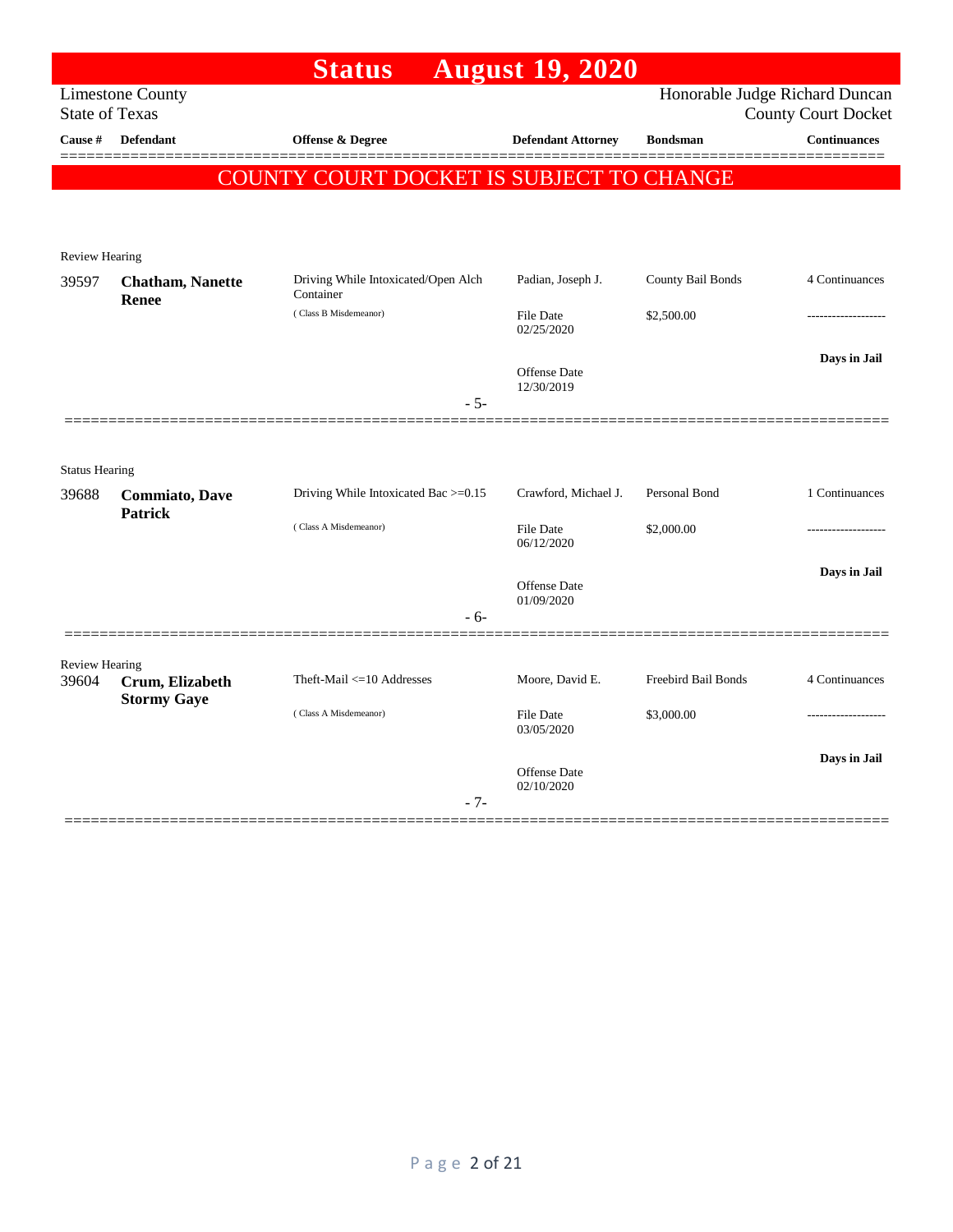|                         | <b>Status</b>                                                                                                                                       |                                                      |                                         |                                                                                                                    |
|-------------------------|-----------------------------------------------------------------------------------------------------------------------------------------------------|------------------------------------------------------|-----------------------------------------|--------------------------------------------------------------------------------------------------------------------|
| <b>Limestone County</b> |                                                                                                                                                     |                                                      |                                         |                                                                                                                    |
|                         |                                                                                                                                                     |                                                      |                                         | <b>County Court Docket</b><br><b>Continuances</b>                                                                  |
|                         |                                                                                                                                                     |                                                      |                                         | =======                                                                                                            |
|                         |                                                                                                                                                     |                                                      |                                         |                                                                                                                    |
|                         |                                                                                                                                                     |                                                      |                                         |                                                                                                                    |
|                         |                                                                                                                                                     |                                                      |                                         |                                                                                                                    |
| <b>Chatham, Nanette</b> | Driving While Intoxicated/Open Alch<br>Container                                                                                                    | Padian, Joseph J.                                    | County Bail Bonds                       | 4 Continuances                                                                                                     |
|                         | (Class B Misdemeanor)                                                                                                                               | <b>File Date</b><br>02/25/2020                       | \$2,500.00                              |                                                                                                                    |
|                         |                                                                                                                                                     | Offense Date                                         |                                         | Days in Jail                                                                                                       |
|                         | $-5-$                                                                                                                                               |                                                      |                                         |                                                                                                                    |
|                         |                                                                                                                                                     |                                                      |                                         |                                                                                                                    |
| <b>Status Hearing</b>   |                                                                                                                                                     |                                                      |                                         |                                                                                                                    |
| <b>Commiato</b> , Dave  | Driving While Intoxicated Bac >=0.15                                                                                                                | Crawford, Michael J.                                 | Personal Bond                           | 1 Continuances                                                                                                     |
|                         | (Class A Misdemeanor)                                                                                                                               | <b>File Date</b><br>06/12/2020                       | \$2,000.00                              |                                                                                                                    |
|                         |                                                                                                                                                     |                                                      |                                         | Days in Jail                                                                                                       |
|                         |                                                                                                                                                     | Offense Date<br>01/09/2020                           |                                         |                                                                                                                    |
|                         | - 6-                                                                                                                                                |                                                      |                                         |                                                                                                                    |
|                         |                                                                                                                                                     |                                                      |                                         |                                                                                                                    |
| Crum, Elizabeth         | Theft-Mail <= 10 Addresses                                                                                                                          | Moore, David E.                                      | Freebird Bail Bonds                     | 4 Continuances                                                                                                     |
|                         | (Class A Misdemeanor)                                                                                                                               | <b>File Date</b><br>03/05/2020                       | \$3,000.00                              |                                                                                                                    |
|                         |                                                                                                                                                     | Offense Date<br>02/10/2020                           |                                         | Days in Jail                                                                                                       |
|                         | <b>State of Texas</b><br><b>Defendant</b><br><b>Review Hearing</b><br><b>Renee</b><br><b>Patrick</b><br><b>Review Hearing</b><br><b>Stormy Gaye</b> | <b>Offense &amp; Degree</b><br><b>COUNT</b><br>$-7-$ | <b>Defendant Attorney</b><br>12/30/2019 | <b>August 19, 2020</b><br>Honorable Judge Richard Duncan<br><b>Bondsman</b><br>Y COURT DOCKET IS SUBJECT TO CHANGE |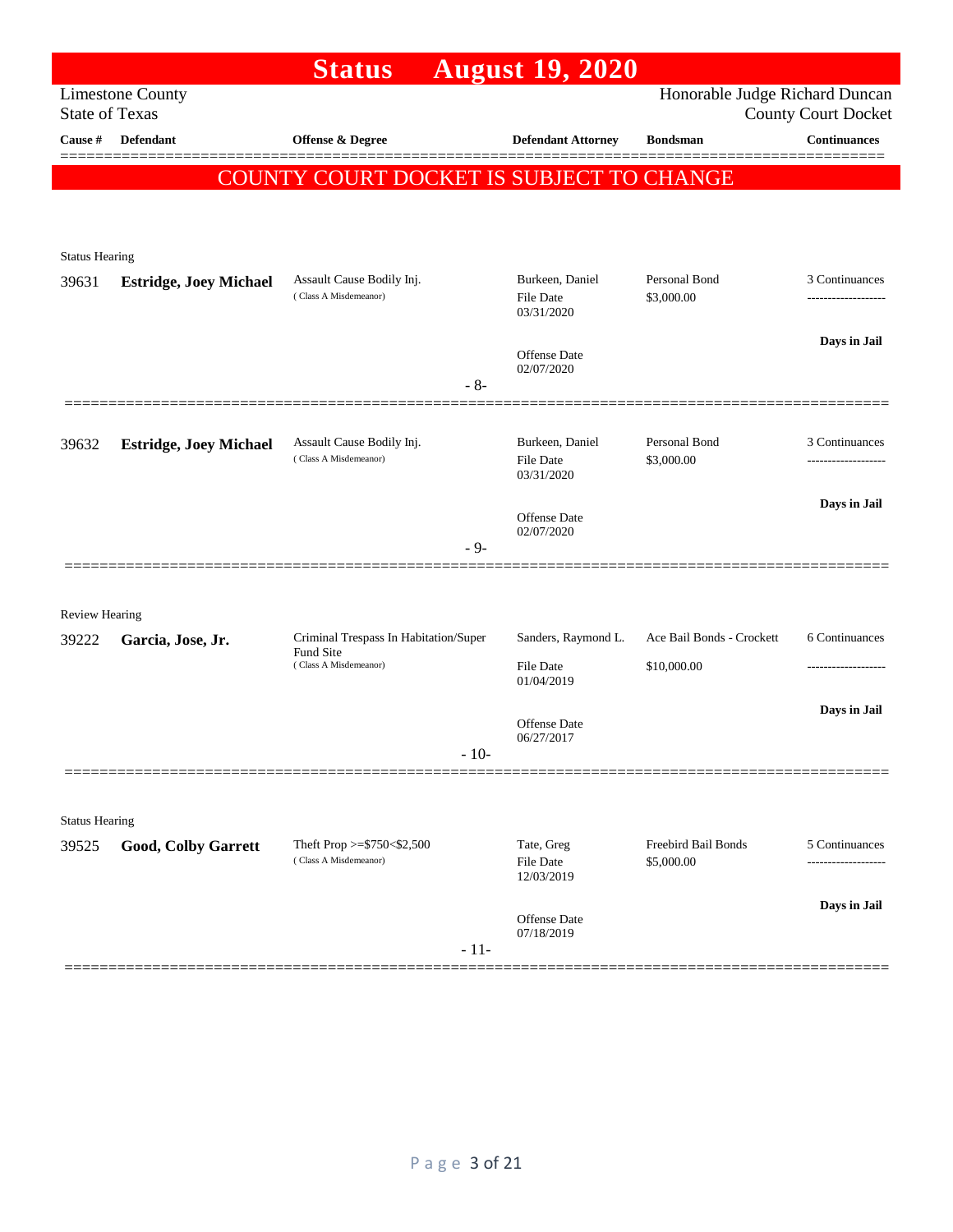|                       |                                           | <b>Status</b>                                        | <b>August 19, 2020</b>              |                                |                                                   |
|-----------------------|-------------------------------------------|------------------------------------------------------|-------------------------------------|--------------------------------|---------------------------------------------------|
|                       | <b>Limestone County</b>                   |                                                      |                                     | Honorable Judge Richard Duncan |                                                   |
| Cause #               | <b>State of Texas</b><br><b>Defendant</b> | Offense & Degree                                     | <b>Defendant Attorney</b>           | <b>Bondsman</b>                | <b>County Court Docket</b><br><b>Continuances</b> |
|                       |                                           |                                                      |                                     |                                |                                                   |
|                       |                                           | COUNTY COURT DOCKET IS SUBJECT TO CHANGE             |                                     |                                |                                                   |
|                       |                                           |                                                      |                                     |                                |                                                   |
| <b>Status Hearing</b> |                                           |                                                      |                                     |                                |                                                   |
| 39631                 | <b>Estridge, Joey Michael</b>             | Assault Cause Bodily Inj.                            | Burkeen, Daniel                     | Personal Bond                  | 3 Continuances                                    |
|                       |                                           | (Class A Misdemeanor)                                | File Date<br>03/31/2020             | \$3,000.00                     |                                                   |
|                       |                                           |                                                      |                                     |                                | Days in Jail                                      |
|                       |                                           |                                                      | Offense Date<br>02/07/2020          |                                |                                                   |
|                       |                                           | $-8-$                                                |                                     |                                |                                                   |
|                       |                                           |                                                      |                                     |                                |                                                   |
| 39632                 | <b>Estridge, Joey Michael</b>             | Assault Cause Bodily Inj.<br>(Class A Misdemeanor)   | Burkeen, Daniel<br><b>File Date</b> | Personal Bond<br>\$3,000.00    | 3 Continuances<br>-------------------             |
|                       |                                           |                                                      | 03/31/2020                          |                                |                                                   |
|                       |                                           |                                                      | Offense Date                        |                                | Days in Jail                                      |
|                       |                                           | $-9-$                                                | 02/07/2020                          |                                |                                                   |
|                       |                                           |                                                      |                                     |                                |                                                   |
| Review Hearing        |                                           |                                                      |                                     |                                |                                                   |
| 39222                 | Garcia, Jose, Jr.                         | Criminal Trespass In Habitation/Super<br>Fund Site   | Sanders, Raymond L.                 | Ace Bail Bonds - Crockett      | 6 Continuances                                    |
|                       |                                           | (Class A Misdemeanor)                                | File Date<br>01/04/2019             | \$10,000.00                    |                                                   |
|                       |                                           |                                                      |                                     |                                | Days in Jail                                      |
|                       |                                           |                                                      | Offense Date<br>06/27/2017          |                                |                                                   |
|                       |                                           | $-10-$                                               |                                     |                                |                                                   |
|                       |                                           |                                                      |                                     |                                |                                                   |
| <b>Status Hearing</b> |                                           |                                                      |                                     |                                |                                                   |
| 39525                 | <b>Good, Colby Garrett</b>                | Theft Prop >= $$750<$2,500$<br>(Class A Misdemeanor) | Tate, Greg<br>File Date             | Freebird Bail Bonds            | 5 Continuances                                    |
|                       |                                           |                                                      | 12/03/2019                          | \$5,000.00                     |                                                   |
|                       |                                           |                                                      | Offense Date                        |                                | Days in Jail                                      |
|                       |                                           | $-11-$                                               | 07/18/2019                          |                                |                                                   |
|                       |                                           |                                                      |                                     |                                |                                                   |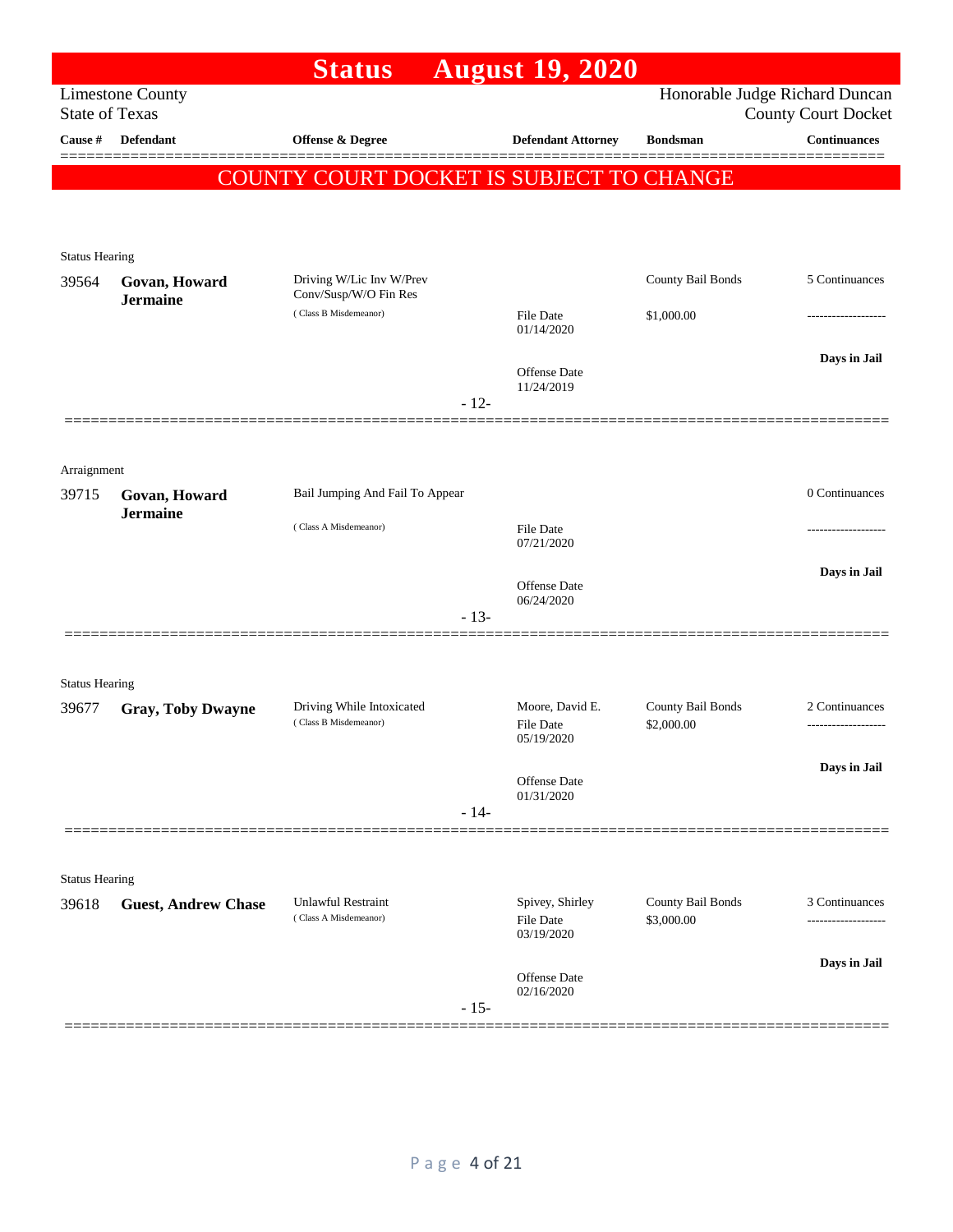|                       |                                  | <b>Status</b>                                      | <b>August 19, 2020</b>                            |                                        |                                                              |
|-----------------------|----------------------------------|----------------------------------------------------|---------------------------------------------------|----------------------------------------|--------------------------------------------------------------|
| <b>State of Texas</b> | <b>Limestone County</b>          |                                                    |                                                   |                                        | Honorable Judge Richard Duncan<br><b>County Court Docket</b> |
| Cause #               | <b>Defendant</b>                 | Offense & Degree                                   | <b>Defendant Attorney</b>                         | <b>Bondsman</b>                        | <b>Continuances</b>                                          |
|                       |                                  | COUNTY COURT DOCKET IS SUBJECT TO CHANGE           |                                                   |                                        |                                                              |
|                       |                                  |                                                    |                                                   |                                        |                                                              |
| <b>Status Hearing</b> |                                  |                                                    |                                                   |                                        |                                                              |
| 39564                 | Govan, Howard<br><b>Jermaine</b> | Driving W/Lic Inv W/Prev<br>Conv/Susp/W/O Fin Res  |                                                   | County Bail Bonds                      | 5 Continuances                                               |
|                       |                                  | (Class B Misdemeanor)                              | <b>File Date</b><br>01/14/2020                    | \$1,000.00                             |                                                              |
|                       |                                  |                                                    | Offense Date                                      |                                        | Days in Jail                                                 |
|                       |                                  | $-12-$                                             | 11/24/2019                                        |                                        |                                                              |
|                       |                                  |                                                    |                                                   |                                        |                                                              |
| Arraignment           |                                  |                                                    |                                                   |                                        |                                                              |
| 39715                 | Govan, Howard<br><b>Jermaine</b> | Bail Jumping And Fail To Appear                    |                                                   |                                        | 0 Continuances                                               |
|                       |                                  | (Class A Misdemeanor)                              | <b>File Date</b><br>07/21/2020                    |                                        | -------------                                                |
|                       |                                  |                                                    | <b>Offense Date</b>                               |                                        | Days in Jail                                                 |
|                       |                                  | $-13-$                                             | 06/24/2020                                        |                                        |                                                              |
|                       |                                  |                                                    |                                                   |                                        |                                                              |
| <b>Status Hearing</b> |                                  |                                                    |                                                   |                                        |                                                              |
| 39677                 | <b>Gray, Toby Dwayne</b>         | Driving While Intoxicated<br>(Class B Misdemeanor) | Moore, David E.<br><b>File Date</b><br>05/19/2020 | <b>County Bail Bonds</b><br>\$2,000.00 | 2 Continuances<br>-------------------                        |
|                       |                                  |                                                    |                                                   |                                        | Days in Jail                                                 |
|                       |                                  | $-14-$                                             | Offense Date<br>01/31/2020                        |                                        |                                                              |
|                       |                                  |                                                    |                                                   |                                        |                                                              |
| <b>Status Hearing</b> |                                  |                                                    |                                                   |                                        |                                                              |
| 39618                 | <b>Guest, Andrew Chase</b>       | <b>Unlawful Restraint</b><br>(Class A Misdemeanor) | Spivey, Shirley<br>File Date                      | County Bail Bonds<br>\$3,000.00        | 3 Continuances                                               |
|                       |                                  |                                                    | 03/19/2020                                        |                                        |                                                              |
|                       |                                  |                                                    | Offense Date<br>02/16/2020                        |                                        | Days in Jail                                                 |
|                       |                                  | $-15-$                                             |                                                   |                                        |                                                              |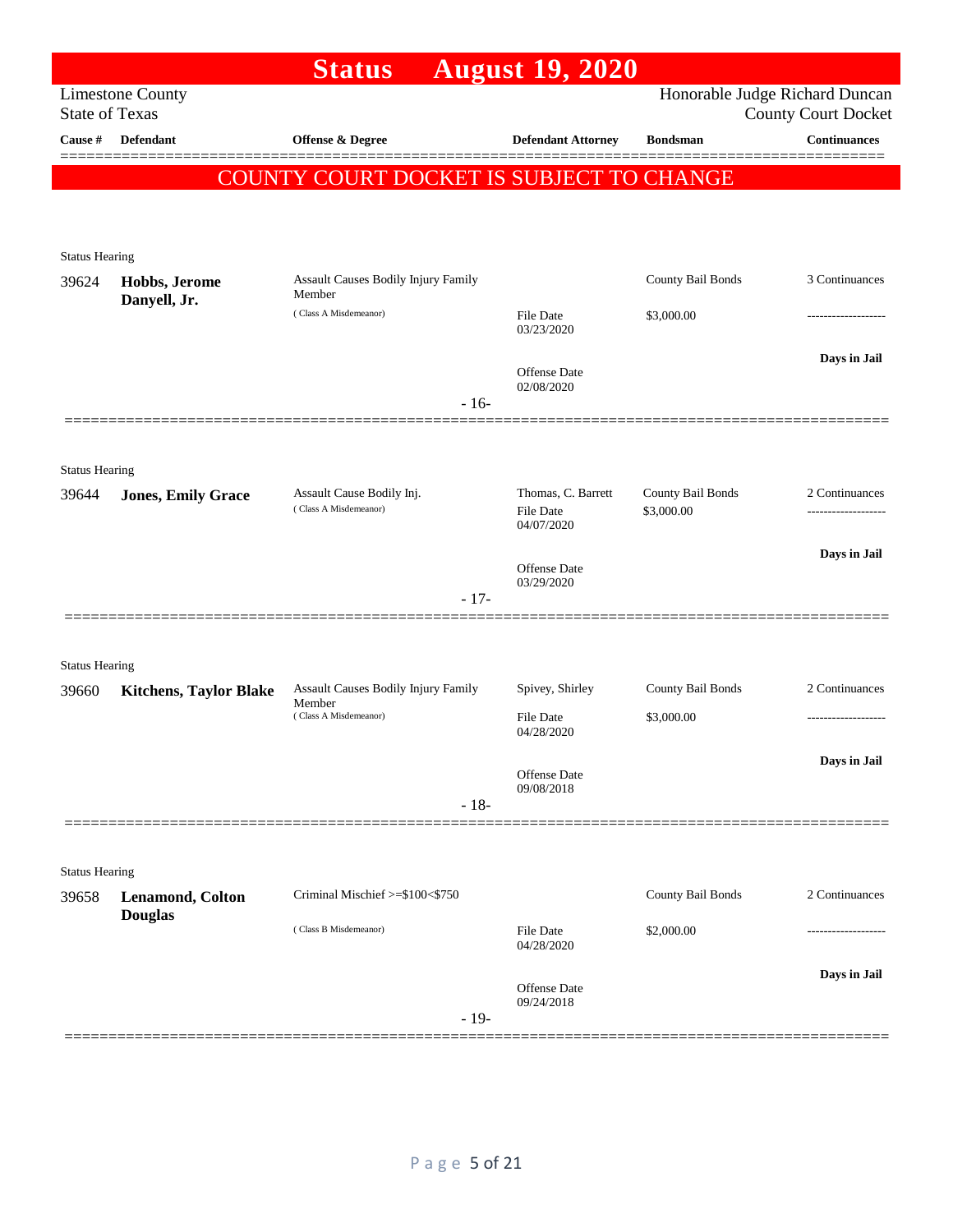|                                |                                           | <b>Status</b>                                        | <b>August 19, 2020</b>            |                                 |                            |
|--------------------------------|-------------------------------------------|------------------------------------------------------|-----------------------------------|---------------------------------|----------------------------|
| <b>State of Texas</b>          | <b>Limestone County</b>                   |                                                      |                                   | Honorable Judge Richard Duncan  | <b>County Court Docket</b> |
| Cause #                        | <b>Defendant</b>                          | Offense & Degree                                     | <b>Defendant Attorney</b>         | <b>Bondsman</b>                 | <b>Continuances</b>        |
|                                |                                           | COUNTY COURT DOCKET IS SUBJECT TO CHANGE             |                                   |                                 |                            |
|                                |                                           |                                                      |                                   |                                 |                            |
|                                |                                           |                                                      |                                   |                                 |                            |
| <b>Status Hearing</b>          |                                           |                                                      |                                   |                                 |                            |
| 39624                          | Hobbs, Jerome<br>Danyell, Jr.             | Assault Causes Bodily Injury Family<br>Member        |                                   | County Bail Bonds               | 3 Continuances             |
|                                |                                           | (Class A Misdemeanor)                                | <b>File Date</b><br>03/23/2020    | \$3,000.00                      | -----------------          |
|                                |                                           |                                                      |                                   |                                 | Days in Jail               |
|                                |                                           |                                                      | <b>Offense Date</b><br>02/08/2020 |                                 |                            |
|                                |                                           | $-16-$                                               |                                   |                                 |                            |
|                                |                                           |                                                      |                                   |                                 |                            |
| <b>Status Hearing</b>          |                                           |                                                      | Thomas, C. Barrett                |                                 | 2 Continuances             |
| 39644                          | <b>Jones, Emily Grace</b>                 | Assault Cause Bodily Inj.<br>(Class A Misdemeanor)   | <b>File Date</b>                  | County Bail Bonds<br>\$3,000.00 | -------------------        |
|                                |                                           |                                                      | 04/07/2020                        |                                 | Days in Jail               |
|                                |                                           |                                                      | Offense Date<br>03/29/2020        |                                 |                            |
|                                |                                           | $-17-$                                               |                                   |                                 |                            |
|                                |                                           |                                                      |                                   |                                 |                            |
| <b>Status Hearing</b>          |                                           |                                                      |                                   |                                 |                            |
| 39660                          | <b>Kitchens, Taylor Blake</b>             | <b>Assault Causes Bodily Injury Family</b><br>Member | Spivey, Shirley                   | County Bail Bonds               | 2 Continuances             |
|                                |                                           | (Class A Misdemeanor)                                | File Date<br>04/28/2020           | \$3,000.00                      | ---------------            |
|                                |                                           |                                                      |                                   |                                 | Days in Jail               |
|                                |                                           |                                                      | Offense Date<br>09/08/2018        |                                 |                            |
|                                |                                           | $-18-$                                               |                                   |                                 |                            |
|                                |                                           |                                                      |                                   |                                 |                            |
| <b>Status Hearing</b><br>39658 |                                           | Criminal Mischief >=\$100<\$750                      |                                   | County Bail Bonds               | 2 Continuances             |
|                                | <b>Lenamond, Colton</b><br><b>Douglas</b> |                                                      |                                   |                                 |                            |
|                                |                                           | (Class B Misdemeanor)                                | <b>File Date</b><br>04/28/2020    | \$2,000.00                      | ------------               |
|                                |                                           |                                                      | Offense Date                      |                                 | Days in Jail               |
|                                |                                           | $-19-$                                               | 09/24/2018                        |                                 |                            |
|                                |                                           |                                                      |                                   |                                 |                            |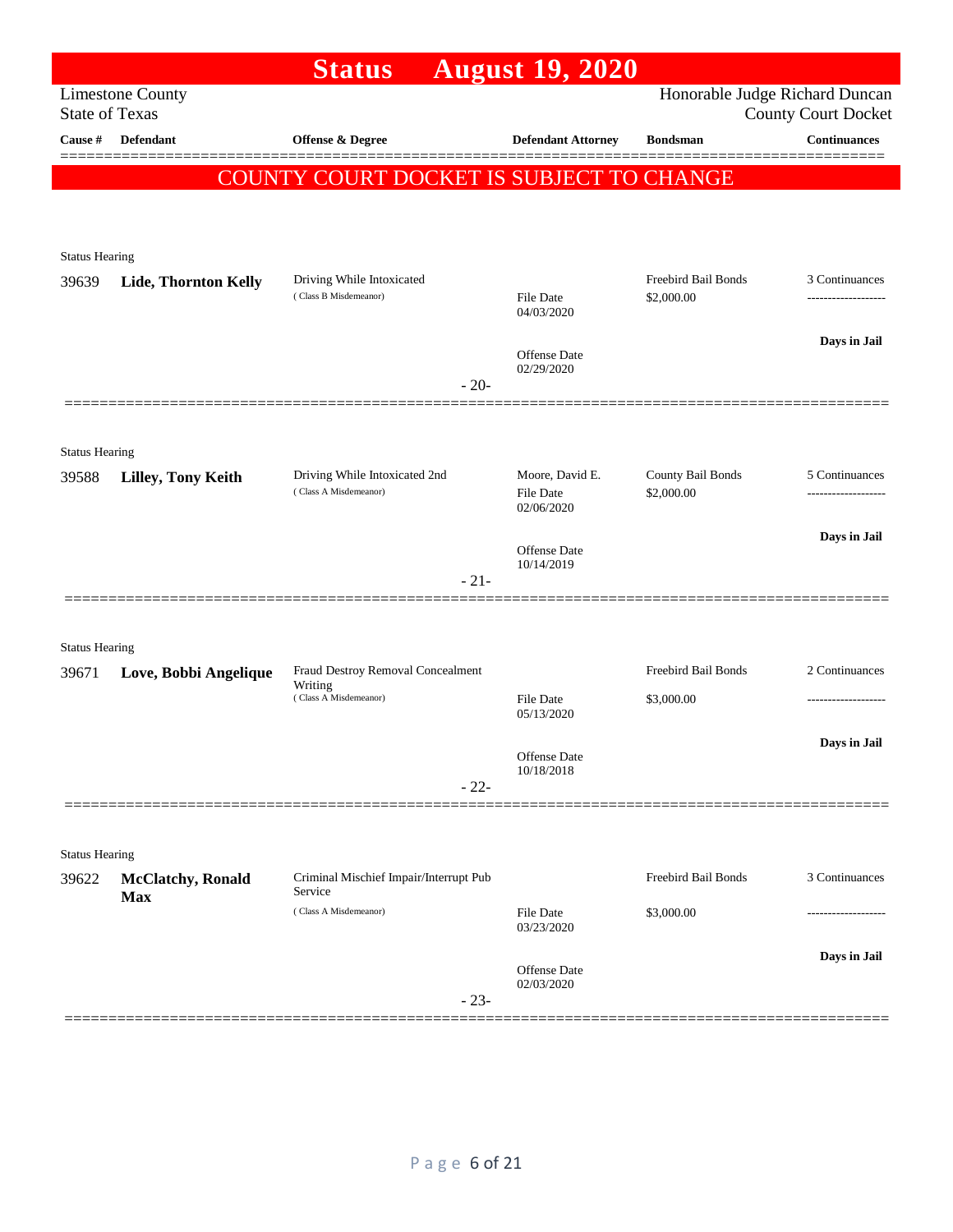|                       |                                         | <b>Status</b>                                          | <b>August 19, 2020</b>       |                                 |                            |
|-----------------------|-----------------------------------------|--------------------------------------------------------|------------------------------|---------------------------------|----------------------------|
| <b>State of Texas</b> | <b>Limestone County</b>                 |                                                        |                              | Honorable Judge Richard Duncan  | <b>County Court Docket</b> |
| Cause #               | <b>Defendant</b>                        | <b>Offense &amp; Degree</b>                            | <b>Defendant Attorney</b>    | <b>Bondsman</b>                 | <b>Continuances</b>        |
|                       |                                         | COUNTY COURT DOCKET IS SUBJECT TO CHANGE               |                              |                                 |                            |
|                       |                                         |                                                        |                              |                                 |                            |
| <b>Status Hearing</b> |                                         |                                                        |                              |                                 |                            |
| 39639                 | Lide, Thornton Kelly                    | Driving While Intoxicated                              |                              | Freebird Bail Bonds             | 3 Continuances             |
|                       |                                         | (Class B Misdemeanor)                                  | File Date<br>04/03/2020      | \$2,000.00                      |                            |
|                       |                                         |                                                        | <b>Offense</b> Date          |                                 | Days in Jail               |
|                       |                                         | $-20-$                                                 | 02/29/2020                   |                                 |                            |
|                       |                                         |                                                        |                              |                                 |                            |
| <b>Status Hearing</b> |                                         |                                                        |                              |                                 |                            |
| 39588                 | Lilley, Tony Keith                      | Driving While Intoxicated 2nd<br>(Class A Misdemeanor) | Moore, David E.<br>File Date | County Bail Bonds<br>\$2,000.00 | 5 Continuances             |
|                       |                                         |                                                        | 02/06/2020                   |                                 |                            |
|                       |                                         |                                                        | Offense Date<br>10/14/2019   |                                 | Days in Jail               |
|                       |                                         | $-21-$                                                 |                              |                                 |                            |
|                       |                                         |                                                        |                              |                                 |                            |
| <b>Status Hearing</b> |                                         | Fraud Destroy Removal Concealment                      |                              | Freebird Bail Bonds             | 2 Continuances             |
| 39671                 | Love, Bobbi Angelique                   | Writing<br>(Class A Misdemeanor)                       | <b>File Date</b>             | \$3,000.00                      | -------------------        |
|                       |                                         |                                                        | 05/13/2020                   |                                 |                            |
|                       |                                         |                                                        | Offense Date<br>10/18/2018   |                                 | Days in Jail               |
|                       |                                         | $-22-$                                                 |                              |                                 |                            |
|                       |                                         |                                                        |                              |                                 |                            |
| <b>Status Hearing</b> |                                         | Criminal Mischief Impair/Interrupt Pub                 |                              | Freebird Bail Bonds             | 3 Continuances             |
| 39622                 | <b>McClatchy</b> , Ronald<br><b>Max</b> | Service<br>(Class A Misdemeanor)                       |                              |                                 |                            |
|                       |                                         |                                                        | File Date<br>03/23/2020      | \$3,000.00                      |                            |
|                       |                                         |                                                        | <b>Offense Date</b>          |                                 | Days in Jail               |
|                       |                                         | $-23-$                                                 | 02/03/2020                   |                                 |                            |
|                       |                                         |                                                        |                              |                                 |                            |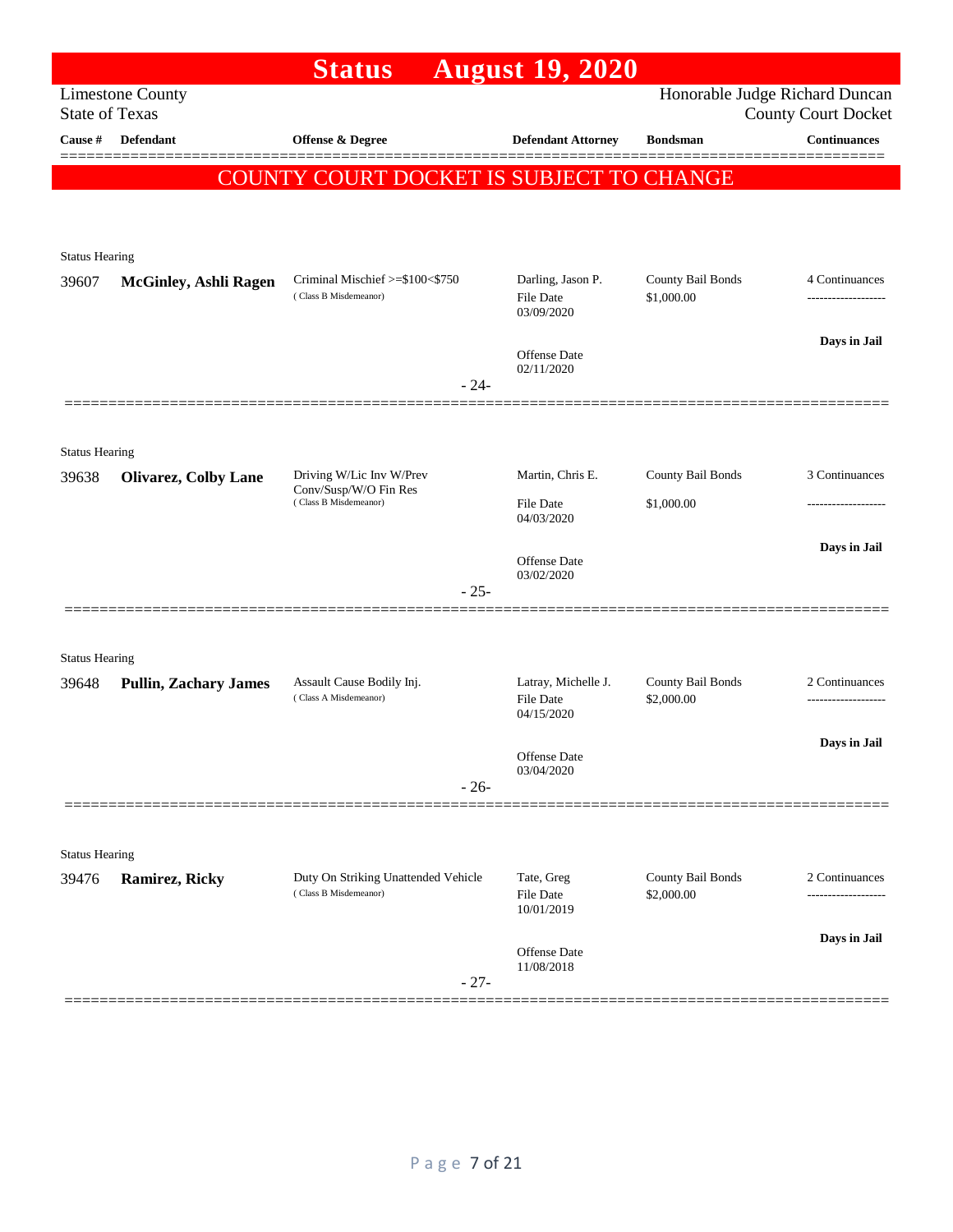|                                |                              | <b>Status</b>                                                | <b>August 19, 2020</b>                  |                                 |                                                              |
|--------------------------------|------------------------------|--------------------------------------------------------------|-----------------------------------------|---------------------------------|--------------------------------------------------------------|
| <b>State of Texas</b>          | <b>Limestone County</b>      |                                                              |                                         |                                 | Honorable Judge Richard Duncan<br><b>County Court Docket</b> |
| Cause #                        | <b>Defendant</b>             | Offense & Degree                                             | <b>Defendant Attorney</b>               | <b>Bondsman</b>                 | <b>Continuances</b>                                          |
|                                |                              | COUNTY COURT DOCKET IS SUBJECT TO CHANGE                     |                                         |                                 |                                                              |
|                                |                              |                                                              |                                         |                                 |                                                              |
|                                |                              |                                                              |                                         |                                 |                                                              |
| <b>Status Hearing</b><br>39607 | <b>McGinley, Ashli Ragen</b> | Criminal Mischief >=\$100<\$750                              | Darling, Jason P.                       | County Bail Bonds               | 4 Continuances                                               |
|                                |                              | (Class B Misdemeanor)                                        | File Date<br>03/09/2020                 | \$1,000.00                      |                                                              |
|                                |                              |                                                              | Offense Date                            |                                 | Days in Jail                                                 |
|                                |                              | $-24-$                                                       | 02/11/2020                              |                                 |                                                              |
|                                |                              |                                                              |                                         |                                 |                                                              |
| <b>Status Hearing</b>          |                              |                                                              |                                         |                                 |                                                              |
| 39638                          | <b>Olivarez, Colby Lane</b>  | Driving W/Lic Inv W/Prev                                     | Martin, Chris E.                        | County Bail Bonds               | 3 Continuances                                               |
|                                |                              | Conv/Susp/W/O Fin Res<br>(Class B Misdemeanor)               | File Date                               | \$1,000.00                      |                                                              |
|                                |                              |                                                              | 04/03/2020                              |                                 | Days in Jail                                                 |
|                                |                              |                                                              | Offense Date<br>03/02/2020              |                                 |                                                              |
|                                |                              | $-25-$                                                       |                                         |                                 |                                                              |
|                                |                              |                                                              |                                         |                                 |                                                              |
| <b>Status Hearing</b>          |                              |                                                              |                                         |                                 |                                                              |
| 39648                          | <b>Pullin, Zachary James</b> | Assault Cause Bodily Inj.<br>(Class A Misdemeanor)           | Latray, Michelle J.<br><b>File Date</b> | County Bail Bonds<br>\$2,000.00 | 2 Continuances<br>-------------------                        |
|                                |                              |                                                              | 04/15/2020                              |                                 |                                                              |
|                                |                              |                                                              | Offense Date<br>03/04/2020              |                                 | Days in Jail                                                 |
|                                |                              | $-26-$                                                       |                                         |                                 |                                                              |
|                                |                              |                                                              |                                         |                                 |                                                              |
| <b>Status Hearing</b>          |                              |                                                              |                                         |                                 |                                                              |
| 39476                          | <b>Ramirez, Ricky</b>        | Duty On Striking Unattended Vehicle<br>(Class B Misdemeanor) | Tate, Greg<br><b>File Date</b>          | County Bail Bonds<br>\$2,000.00 | 2 Continuances<br>------------------                         |
|                                |                              |                                                              | 10/01/2019                              |                                 |                                                              |
|                                |                              |                                                              | Offense Date                            |                                 | Days in Jail                                                 |
|                                |                              | $-27-$                                                       | 11/08/2018                              |                                 |                                                              |
|                                |                              |                                                              |                                         |                                 |                                                              |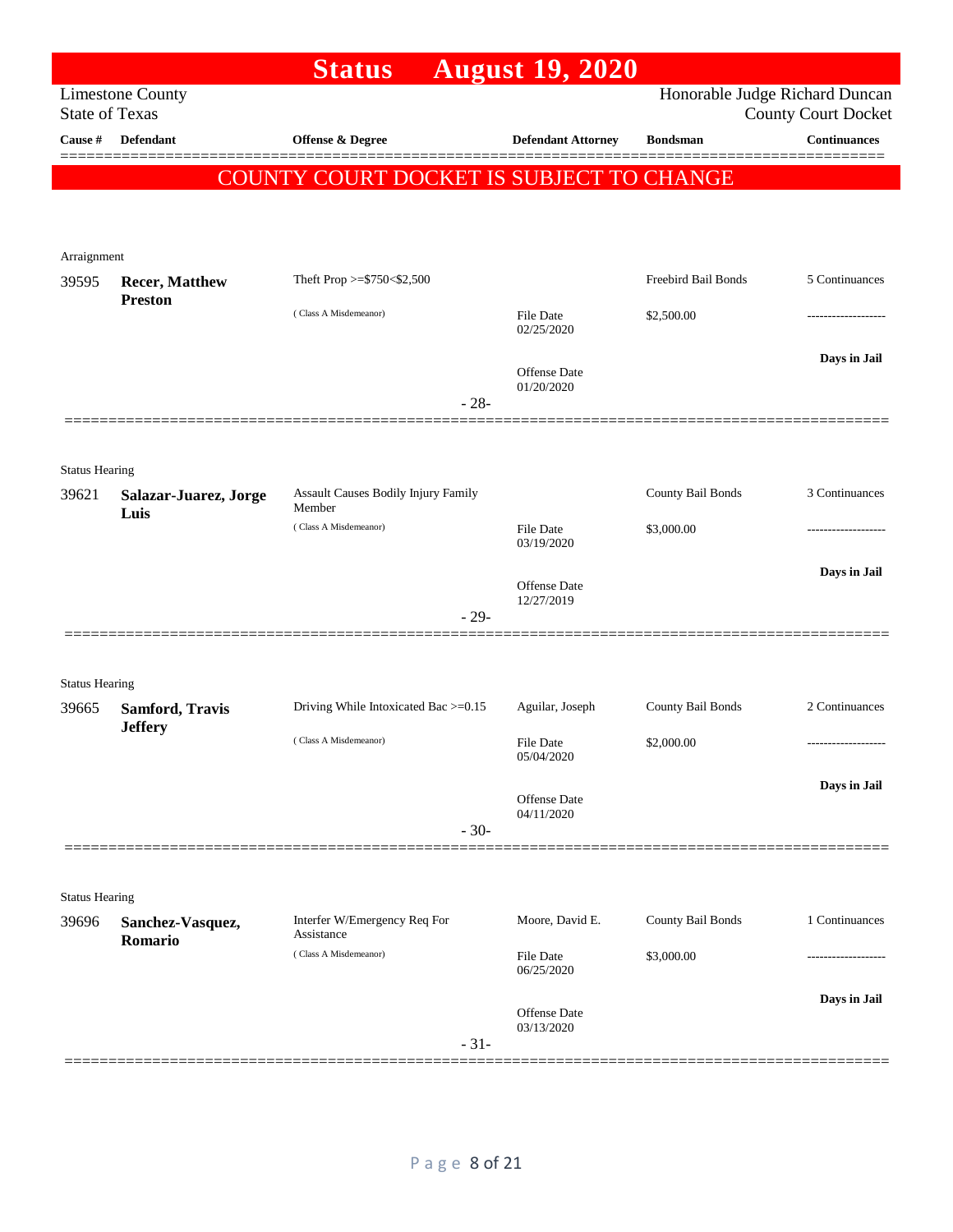|                       |                                          | <b>Status</b>                                        |        | <b>August 19, 2020</b>         |                                |                            |
|-----------------------|------------------------------------------|------------------------------------------------------|--------|--------------------------------|--------------------------------|----------------------------|
| <b>State of Texas</b> | <b>Limestone County</b>                  |                                                      |        |                                | Honorable Judge Richard Duncan | <b>County Court Docket</b> |
| Cause #               | Defendant                                | Offense & Degree                                     |        | <b>Defendant Attorney</b>      | <b>Bondsman</b>                | <b>Continuances</b>        |
|                       |                                          | COUNTY COURT DOCKET IS SUBJECT TO CHANGE             |        |                                |                                |                            |
| Arraignment           |                                          |                                                      |        |                                |                                |                            |
| 39595                 | <b>Recer, Matthew</b>                    | Theft Prop >=\$750<\$2,500                           |        |                                | Freebird Bail Bonds            | 5 Continuances             |
|                       | <b>Preston</b>                           | (Class A Misdemeanor)                                |        | <b>File Date</b><br>02/25/2020 | \$2,500.00                     |                            |
|                       |                                          |                                                      |        | Offense Date<br>01/20/2020     |                                | Days in Jail               |
|                       |                                          |                                                      | $-28-$ |                                |                                |                            |
| <b>Status Hearing</b> |                                          |                                                      |        |                                |                                |                            |
| 39621                 | Salazar-Juarez, Jorge<br>Luis            | <b>Assault Causes Bodily Injury Family</b><br>Member |        |                                | County Bail Bonds              | 3 Continuances             |
|                       |                                          | (Class A Misdemeanor)                                |        | File Date<br>03/19/2020        | \$3,000.00                     |                            |
|                       |                                          |                                                      |        | Offense Date<br>12/27/2019     |                                | Days in Jail               |
|                       |                                          |                                                      | $-29-$ |                                |                                |                            |
| <b>Status Hearing</b> |                                          |                                                      |        |                                |                                |                            |
| 39665                 | <b>Samford, Travis</b><br><b>Jeffery</b> | Driving While Intoxicated Bac >=0.15                 |        | Aguilar, Joseph                | County Bail Bonds              | 2 Continuances             |
|                       |                                          | (Class A Misdemeanor)                                |        | File Date<br>05/04/2020        | \$2,000.00                     |                            |
|                       |                                          |                                                      |        | Offense Date<br>04/11/2020     |                                | Days in Jail               |
|                       |                                          |                                                      | $-30-$ |                                |                                |                            |
| <b>Status Hearing</b> |                                          |                                                      |        |                                |                                |                            |
| 39696                 | Sanchez-Vasquez,<br>Romario              | Interfer W/Emergency Req For<br>Assistance           |        | Moore, David E.                | County Bail Bonds              | 1 Continuances             |
|                       |                                          | (Class A Misdemeanor)                                |        | File Date<br>06/25/2020        | \$3,000.00                     |                            |
|                       |                                          |                                                      | $-31-$ | Offense Date<br>03/13/2020     |                                | Days in Jail               |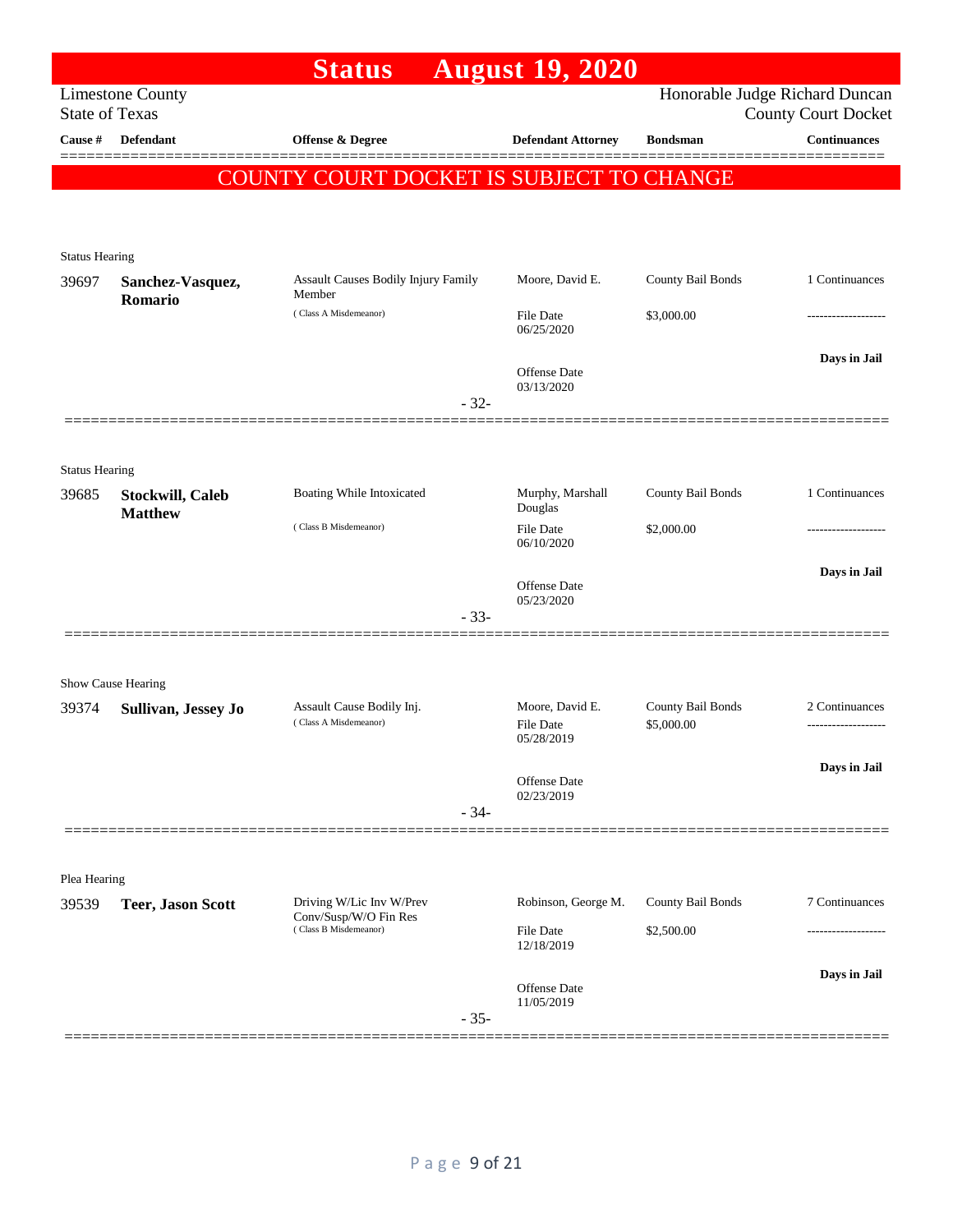|                                |                             | <b>Status</b>                                  | <b>August 19, 2020</b>         |                   |                                                              |
|--------------------------------|-----------------------------|------------------------------------------------|--------------------------------|-------------------|--------------------------------------------------------------|
| <b>State of Texas</b>          | <b>Limestone County</b>     |                                                |                                |                   | Honorable Judge Richard Duncan<br><b>County Court Docket</b> |
| Cause #                        | <b>Defendant</b>            | <b>Offense &amp; Degree</b>                    | <b>Defendant Attorney</b>      | <b>Bondsman</b>   | <b>Continuances</b>                                          |
|                                |                             | COUNTY COURT DOCKET IS SUBJECT TO CHANGE       |                                |                   |                                                              |
|                                |                             |                                                |                                |                   |                                                              |
|                                |                             |                                                |                                |                   |                                                              |
| <b>Status Hearing</b>          |                             | Assault Causes Bodily Injury Family            | Moore, David E.                | County Bail Bonds | 1 Continuances                                               |
| 39697                          | Sanchez-Vasquez,<br>Romario | Member                                         |                                |                   |                                                              |
|                                |                             | (Class A Misdemeanor)                          | <b>File Date</b><br>06/25/2020 | \$3,000.00        | .                                                            |
|                                |                             |                                                | <b>Offense Date</b>            |                   | Days in Jail                                                 |
|                                |                             | $-32-$                                         | 03/13/2020                     |                   |                                                              |
|                                |                             |                                                |                                |                   |                                                              |
|                                |                             |                                                |                                |                   |                                                              |
| <b>Status Hearing</b><br>39685 | <b>Stockwill, Caleb</b>     | Boating While Intoxicated                      | Murphy, Marshall               | County Bail Bonds | 1 Continuances                                               |
|                                | <b>Matthew</b>              | (Class B Misdemeanor)                          | Douglas<br><b>File Date</b>    | \$2,000.00        |                                                              |
|                                |                             |                                                | 06/10/2020                     |                   |                                                              |
|                                |                             |                                                | <b>Offense Date</b>            |                   | Days in Jail                                                 |
|                                |                             | $-33-$                                         | 05/23/2020                     |                   |                                                              |
|                                |                             |                                                |                                |                   |                                                              |
|                                | Show Cause Hearing          |                                                |                                |                   |                                                              |
| 39374                          | Sullivan, Jessey Jo         | Assault Cause Bodily Inj.                      | Moore, David E.                | County Bail Bonds | 2 Continuances                                               |
|                                |                             | (Class A Misdemeanor)                          | <b>File Date</b><br>05/28/2019 | \$5,000.00        | ------------------                                           |
|                                |                             |                                                | Offense Date                   |                   | Days in Jail                                                 |
|                                |                             |                                                | 02/23/2019                     |                   |                                                              |
|                                |                             | $-34-$                                         |                                |                   |                                                              |
|                                |                             |                                                |                                |                   |                                                              |
| Plea Hearing<br>39539          | <b>Teer, Jason Scott</b>    | Driving W/Lic Inv W/Prev                       | Robinson, George M.            | County Bail Bonds | 7 Continuances                                               |
|                                |                             | Conv/Susp/W/O Fin Res<br>(Class B Misdemeanor) | File Date                      | \$2,500.00        |                                                              |
|                                |                             |                                                | 12/18/2019                     |                   |                                                              |
|                                |                             |                                                | <b>Offense Date</b>            |                   | Days in Jail                                                 |
|                                |                             | $-35-$                                         | 11/05/2019                     |                   |                                                              |
|                                |                             |                                                |                                |                   |                                                              |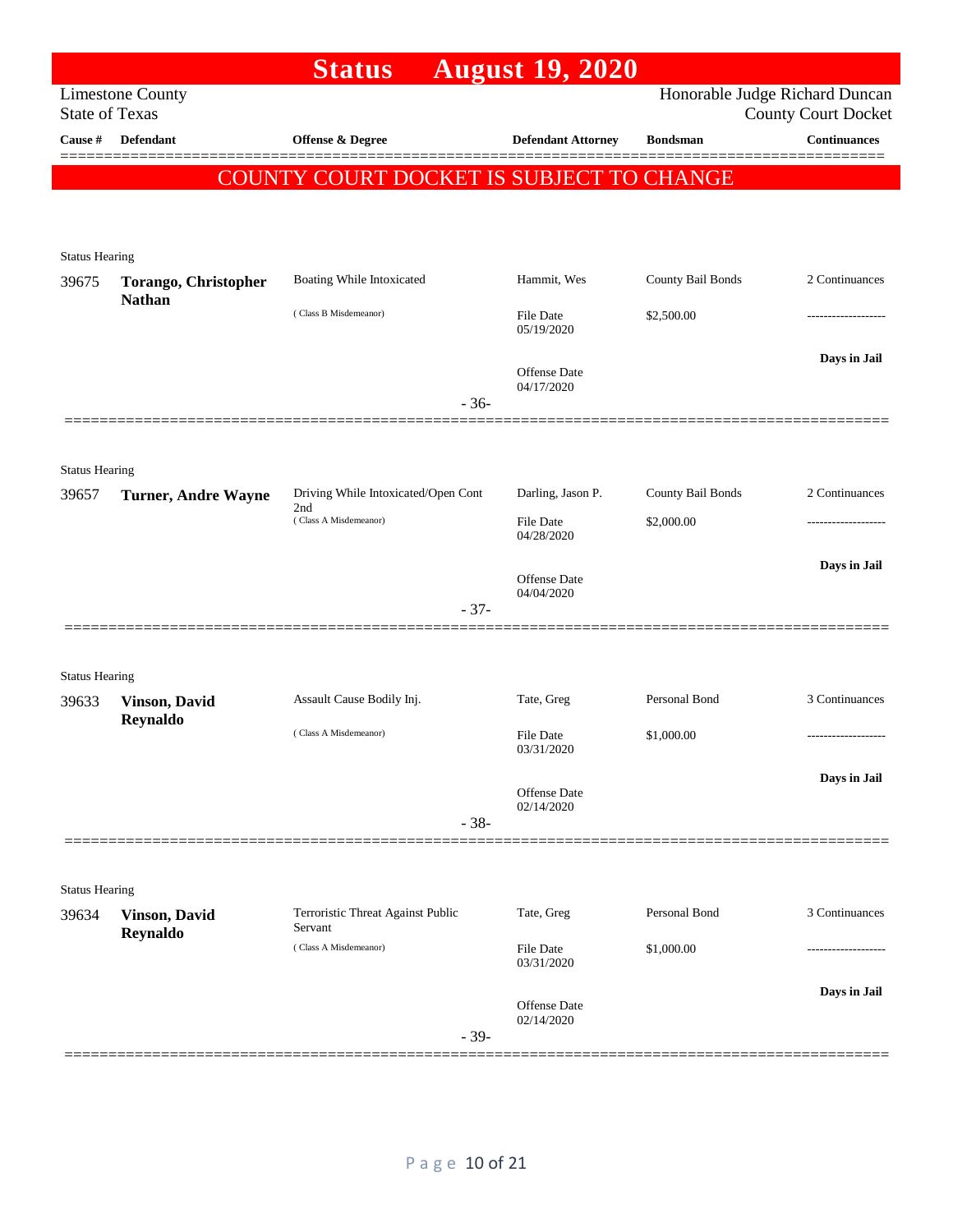|                                |                                   | <b>Status</b>                                                       | <b>August 19, 2020</b>                |                                 |                                      |
|--------------------------------|-----------------------------------|---------------------------------------------------------------------|---------------------------------------|---------------------------------|--------------------------------------|
| <b>State of Texas</b>          | <b>Limestone County</b>           |                                                                     |                                       | Honorable Judge Richard Duncan  | <b>County Court Docket</b>           |
| Cause #                        | <b>Defendant</b>                  | Offense & Degree                                                    | <b>Defendant Attorney</b>             | <b>Bondsman</b>                 | <b>Continuances</b>                  |
|                                |                                   | COUNTY COURT DOCKET IS SUBJECT TO CHANGE                            |                                       |                                 |                                      |
|                                |                                   |                                                                     |                                       |                                 |                                      |
| <b>Status Hearing</b>          |                                   |                                                                     |                                       |                                 |                                      |
| 39675                          | <b>Torango, Christopher</b>       | Boating While Intoxicated                                           | Hammit, Wes                           | County Bail Bonds               | 2 Continuances                       |
|                                | <b>Nathan</b>                     | (Class B Misdemeanor)                                               | <b>File Date</b>                      | \$2,500.00                      |                                      |
|                                |                                   |                                                                     | 05/19/2020                            |                                 |                                      |
|                                |                                   |                                                                     | <b>Offense Date</b><br>04/17/2020     |                                 | Days in Jail                         |
|                                |                                   | $-36-$                                                              |                                       |                                 |                                      |
|                                |                                   |                                                                     |                                       |                                 |                                      |
| <b>Status Hearing</b>          |                                   |                                                                     |                                       |                                 |                                      |
| 39657                          | <b>Turner, Andre Wayne</b>        | Driving While Intoxicated/Open Cont<br>2nd<br>(Class A Misdemeanor) | Darling, Jason P.<br><b>File Date</b> | County Bail Bonds<br>\$2,000.00 | 2 Continuances<br>------------------ |
|                                |                                   |                                                                     | 04/28/2020                            |                                 |                                      |
|                                |                                   |                                                                     | <b>Offense Date</b>                   |                                 | Days in Jail                         |
|                                |                                   | $-37-$                                                              | 04/04/2020                            |                                 |                                      |
|                                |                                   |                                                                     |                                       |                                 |                                      |
| <b>Status Hearing</b>          |                                   |                                                                     |                                       |                                 |                                      |
| 39633                          | <b>Vinson</b> , David<br>Reynaldo | Assault Cause Bodily Inj.                                           | Tate, Greg                            | Personal Bond                   | 3 Continuances                       |
|                                |                                   | (Class A Misdemeanor)                                               | <b>File Date</b><br>03/31/2020        | \$1,000.00                      |                                      |
|                                |                                   |                                                                     |                                       |                                 | Days in Jail                         |
|                                |                                   |                                                                     | Offense Date<br>02/14/2020            |                                 |                                      |
|                                |                                   | $-38-$                                                              |                                       |                                 |                                      |
|                                |                                   |                                                                     |                                       |                                 |                                      |
| <b>Status Hearing</b><br>39634 | <b>Vinson, David</b>              | Terroristic Threat Against Public                                   | Tate, Greg                            | Personal Bond                   | 3 Continuances                       |
|                                | Reynaldo                          | Servant<br>(Class A Misdemeanor)                                    | File Date                             | \$1,000.00                      |                                      |
|                                |                                   |                                                                     | 03/31/2020                            |                                 |                                      |
|                                |                                   |                                                                     | <b>Offense Date</b><br>02/14/2020     |                                 | Days in Jail                         |
|                                |                                   | $-39-$                                                              |                                       |                                 |                                      |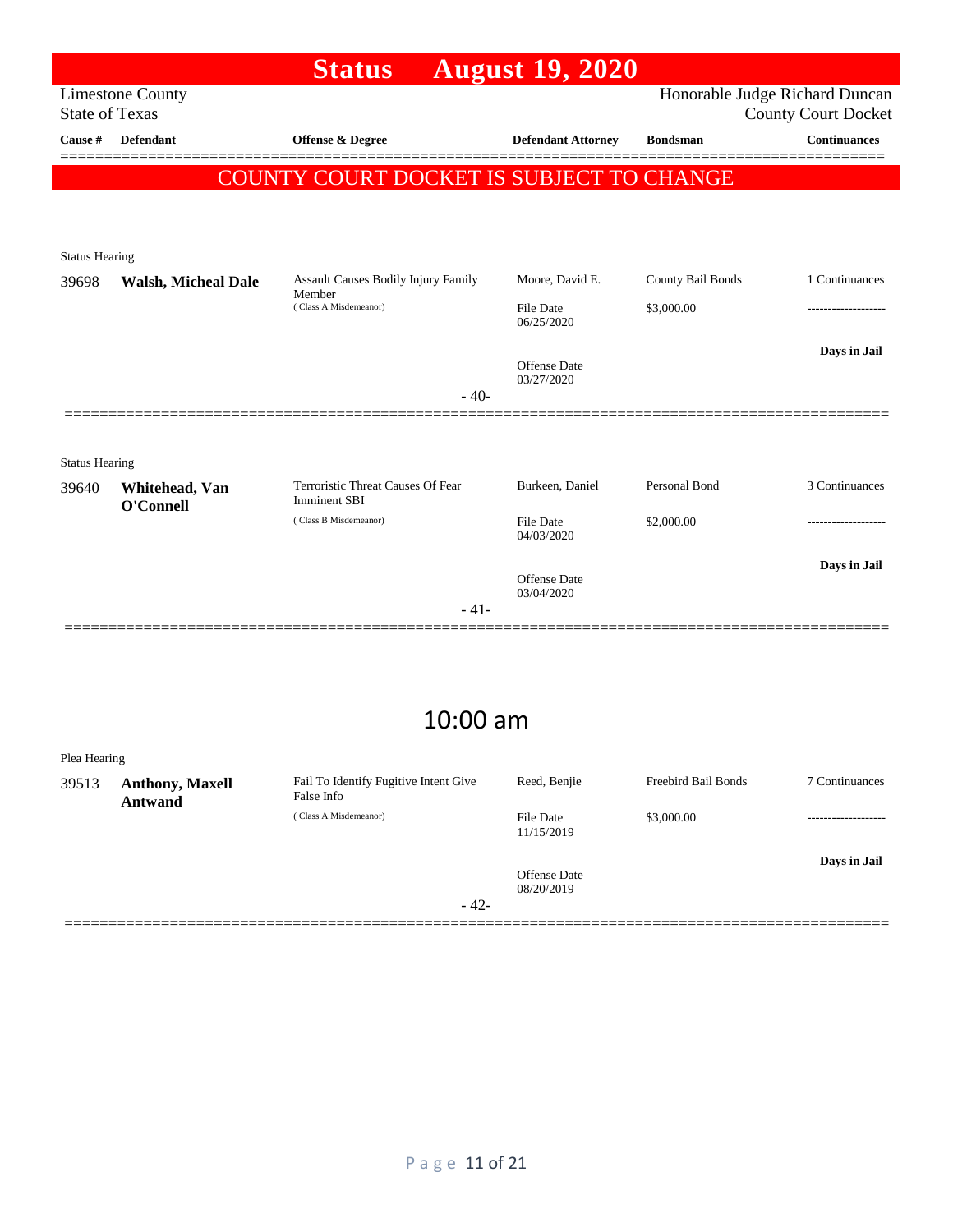|                       |                                                  | <b>Status</b>                                            | <b>August 19, 2020</b>         |                   |                                                              |
|-----------------------|--------------------------------------------------|----------------------------------------------------------|--------------------------------|-------------------|--------------------------------------------------------------|
|                       | <b>Limestone County</b><br><b>State of Texas</b> |                                                          |                                |                   | Honorable Judge Richard Duncan<br><b>County Court Docket</b> |
| Cause #               | <b>Defendant</b>                                 | <b>Offense &amp; Degree</b>                              | <b>Defendant Attorney</b>      | <b>Bondsman</b>   | <b>Continuances</b>                                          |
|                       |                                                  | COUNTY COURT DOCKET IS SUBJECT TO CHANGE                 |                                |                   |                                                              |
|                       |                                                  |                                                          |                                |                   |                                                              |
|                       |                                                  |                                                          |                                |                   |                                                              |
| <b>Status Hearing</b> |                                                  |                                                          |                                |                   |                                                              |
| 39698                 | <b>Walsh, Micheal Dale</b>                       | Assault Causes Bodily Injury Family<br>Member            | Moore, David E.                | County Bail Bonds | 1 Continuances                                               |
|                       |                                                  | (Class A Misdemeanor)                                    | File Date<br>06/25/2020        | \$3,000.00        |                                                              |
|                       |                                                  | $-40-$                                                   | Offense Date<br>03/27/2020     |                   | Days in Jail                                                 |
|                       |                                                  |                                                          |                                |                   |                                                              |
| <b>Status Hearing</b> |                                                  |                                                          |                                |                   |                                                              |
| 39640                 | Whitehead, Van<br>O'Connell                      | Terroristic Threat Causes Of Fear<br><b>Imminent SBI</b> | Burkeen, Daniel                | Personal Bond     | 3 Continuances                                               |
|                       |                                                  | (Class B Misdemeanor)                                    | <b>File Date</b><br>04/03/2020 | \$2,000.00        |                                                              |
|                       |                                                  |                                                          |                                |                   | Days in Jail                                                 |
|                       |                                                  |                                                          | Offense Date<br>03/04/2020     |                   |                                                              |
|                       |                                                  | $-41-$                                                   |                                |                   |                                                              |
|                       |                                                  |                                                          |                                |                   |                                                              |

## 10:00 am

| Plea Hearing |                                          |                                                     |                            |                     |                |
|--------------|------------------------------------------|-----------------------------------------------------|----------------------------|---------------------|----------------|
| 39513        | <b>Anthony, Maxell</b><br><b>Antwand</b> | Fail To Identify Fugitive Intent Give<br>False Info | Reed, Benjie               | Freebird Bail Bonds | 7 Continuances |
|              |                                          | (Class A Misdemeanor)                               | File Date<br>11/15/2019    | \$3,000.00          | -----------    |
|              |                                          |                                                     | Offense Date<br>08/20/2019 |                     | Days in Jail   |
|              |                                          | $-42-$                                              |                            |                     |                |
|              |                                          |                                                     |                            |                     |                |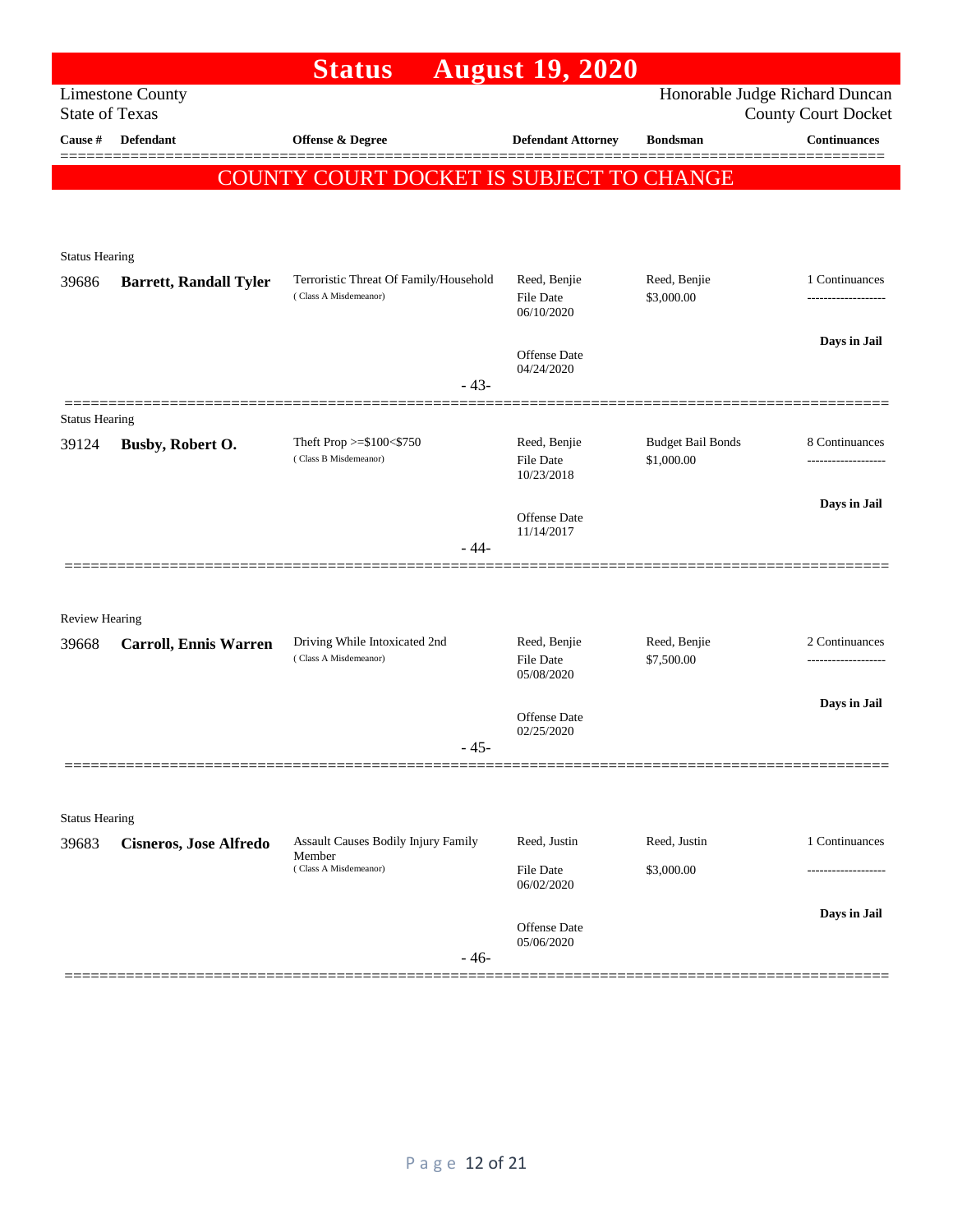| Honorable Judge Richard Duncan<br><b>Limestone County</b><br><b>State of Texas</b><br><b>County Court Docket</b><br><b>Defendant</b><br><b>Continuances</b><br>Cause #<br><b>Offense &amp; Degree</b><br><b>Defendant Attorney</b><br><b>Bondsman</b><br>COUNTY COURT DOCKET IS SUBJECT TO CHANGE<br><b>Status Hearing</b><br>Terroristic Threat Of Family/Household<br>Reed, Benjie<br>Reed, Benjie<br>1 Continuances<br>39686<br><b>Barrett, Randall Tyler</b><br>(Class A Misdemeanor)<br>File Date<br>\$3,000.00<br>06/10/2020<br>Offense Date<br>04/24/2020<br>$-43-$<br><b>Status Hearing</b><br>Theft Prop $>=$ \$100 $<$ \$750<br>Reed, Benjie<br><b>Budget Bail Bonds</b><br>39124<br>Busby, Robert O.<br>(Class B Misdemeanor)<br>File Date<br>\$1,000.00<br>10/23/2018<br>Offense Date<br>11/14/2017<br>$-44-$<br><b>Review Hearing</b><br>Driving While Intoxicated 2nd<br>Reed, Benjie<br>Reed, Benjie<br>39668<br><b>Carroll, Ennis Warren</b><br>(Class A Misdemeanor)<br><b>File Date</b><br>\$7,500.00<br>05/08/2020<br>Offense Date<br>02/25/2020<br>- 45-<br><b>Status Hearing</b><br>Assault Causes Bodily Injury Family<br>Reed, Justin<br>Reed, Justin<br>39683<br><b>Cisneros, Jose Alfredo</b><br>Member<br>(Class A Misdemeanor)<br>\$3,000.00<br>File Date<br>06/02/2020<br>Offense Date |  | <b>Status</b> | <b>August 19, 2020</b> |                                       |
|--------------------------------------------------------------------------------------------------------------------------------------------------------------------------------------------------------------------------------------------------------------------------------------------------------------------------------------------------------------------------------------------------------------------------------------------------------------------------------------------------------------------------------------------------------------------------------------------------------------------------------------------------------------------------------------------------------------------------------------------------------------------------------------------------------------------------------------------------------------------------------------------------------------------------------------------------------------------------------------------------------------------------------------------------------------------------------------------------------------------------------------------------------------------------------------------------------------------------------------------------------------------------------------------------------------------|--|---------------|------------------------|---------------------------------------|
|                                                                                                                                                                                                                                                                                                                                                                                                                                                                                                                                                                                                                                                                                                                                                                                                                                                                                                                                                                                                                                                                                                                                                                                                                                                                                                                    |  |               |                        |                                       |
|                                                                                                                                                                                                                                                                                                                                                                                                                                                                                                                                                                                                                                                                                                                                                                                                                                                                                                                                                                                                                                                                                                                                                                                                                                                                                                                    |  |               |                        |                                       |
|                                                                                                                                                                                                                                                                                                                                                                                                                                                                                                                                                                                                                                                                                                                                                                                                                                                                                                                                                                                                                                                                                                                                                                                                                                                                                                                    |  |               |                        |                                       |
|                                                                                                                                                                                                                                                                                                                                                                                                                                                                                                                                                                                                                                                                                                                                                                                                                                                                                                                                                                                                                                                                                                                                                                                                                                                                                                                    |  |               |                        |                                       |
|                                                                                                                                                                                                                                                                                                                                                                                                                                                                                                                                                                                                                                                                                                                                                                                                                                                                                                                                                                                                                                                                                                                                                                                                                                                                                                                    |  |               |                        |                                       |
|                                                                                                                                                                                                                                                                                                                                                                                                                                                                                                                                                                                                                                                                                                                                                                                                                                                                                                                                                                                                                                                                                                                                                                                                                                                                                                                    |  |               |                        |                                       |
|                                                                                                                                                                                                                                                                                                                                                                                                                                                                                                                                                                                                                                                                                                                                                                                                                                                                                                                                                                                                                                                                                                                                                                                                                                                                                                                    |  |               |                        |                                       |
|                                                                                                                                                                                                                                                                                                                                                                                                                                                                                                                                                                                                                                                                                                                                                                                                                                                                                                                                                                                                                                                                                                                                                                                                                                                                                                                    |  |               |                        | -------------------                   |
|                                                                                                                                                                                                                                                                                                                                                                                                                                                                                                                                                                                                                                                                                                                                                                                                                                                                                                                                                                                                                                                                                                                                                                                                                                                                                                                    |  |               |                        | Days in Jail                          |
|                                                                                                                                                                                                                                                                                                                                                                                                                                                                                                                                                                                                                                                                                                                                                                                                                                                                                                                                                                                                                                                                                                                                                                                                                                                                                                                    |  |               |                        |                                       |
|                                                                                                                                                                                                                                                                                                                                                                                                                                                                                                                                                                                                                                                                                                                                                                                                                                                                                                                                                                                                                                                                                                                                                                                                                                                                                                                    |  |               |                        |                                       |
|                                                                                                                                                                                                                                                                                                                                                                                                                                                                                                                                                                                                                                                                                                                                                                                                                                                                                                                                                                                                                                                                                                                                                                                                                                                                                                                    |  |               |                        |                                       |
|                                                                                                                                                                                                                                                                                                                                                                                                                                                                                                                                                                                                                                                                                                                                                                                                                                                                                                                                                                                                                                                                                                                                                                                                                                                                                                                    |  |               |                        | 8 Continuances<br>------------------- |
|                                                                                                                                                                                                                                                                                                                                                                                                                                                                                                                                                                                                                                                                                                                                                                                                                                                                                                                                                                                                                                                                                                                                                                                                                                                                                                                    |  |               |                        | Days in Jail                          |
|                                                                                                                                                                                                                                                                                                                                                                                                                                                                                                                                                                                                                                                                                                                                                                                                                                                                                                                                                                                                                                                                                                                                                                                                                                                                                                                    |  |               |                        |                                       |
|                                                                                                                                                                                                                                                                                                                                                                                                                                                                                                                                                                                                                                                                                                                                                                                                                                                                                                                                                                                                                                                                                                                                                                                                                                                                                                                    |  |               |                        |                                       |
|                                                                                                                                                                                                                                                                                                                                                                                                                                                                                                                                                                                                                                                                                                                                                                                                                                                                                                                                                                                                                                                                                                                                                                                                                                                                                                                    |  |               |                        |                                       |
|                                                                                                                                                                                                                                                                                                                                                                                                                                                                                                                                                                                                                                                                                                                                                                                                                                                                                                                                                                                                                                                                                                                                                                                                                                                                                                                    |  |               |                        |                                       |
|                                                                                                                                                                                                                                                                                                                                                                                                                                                                                                                                                                                                                                                                                                                                                                                                                                                                                                                                                                                                                                                                                                                                                                                                                                                                                                                    |  |               |                        | 2 Continuances                        |
|                                                                                                                                                                                                                                                                                                                                                                                                                                                                                                                                                                                                                                                                                                                                                                                                                                                                                                                                                                                                                                                                                                                                                                                                                                                                                                                    |  |               |                        |                                       |
|                                                                                                                                                                                                                                                                                                                                                                                                                                                                                                                                                                                                                                                                                                                                                                                                                                                                                                                                                                                                                                                                                                                                                                                                                                                                                                                    |  |               |                        | Days in Jail                          |
|                                                                                                                                                                                                                                                                                                                                                                                                                                                                                                                                                                                                                                                                                                                                                                                                                                                                                                                                                                                                                                                                                                                                                                                                                                                                                                                    |  |               |                        |                                       |
|                                                                                                                                                                                                                                                                                                                                                                                                                                                                                                                                                                                                                                                                                                                                                                                                                                                                                                                                                                                                                                                                                                                                                                                                                                                                                                                    |  |               |                        |                                       |
|                                                                                                                                                                                                                                                                                                                                                                                                                                                                                                                                                                                                                                                                                                                                                                                                                                                                                                                                                                                                                                                                                                                                                                                                                                                                                                                    |  |               |                        |                                       |
|                                                                                                                                                                                                                                                                                                                                                                                                                                                                                                                                                                                                                                                                                                                                                                                                                                                                                                                                                                                                                                                                                                                                                                                                                                                                                                                    |  |               |                        |                                       |
|                                                                                                                                                                                                                                                                                                                                                                                                                                                                                                                                                                                                                                                                                                                                                                                                                                                                                                                                                                                                                                                                                                                                                                                                                                                                                                                    |  |               |                        | 1 Continuances                        |
|                                                                                                                                                                                                                                                                                                                                                                                                                                                                                                                                                                                                                                                                                                                                                                                                                                                                                                                                                                                                                                                                                                                                                                                                                                                                                                                    |  |               |                        |                                       |
|                                                                                                                                                                                                                                                                                                                                                                                                                                                                                                                                                                                                                                                                                                                                                                                                                                                                                                                                                                                                                                                                                                                                                                                                                                                                                                                    |  |               |                        | Days in Jail                          |
| $-46-$                                                                                                                                                                                                                                                                                                                                                                                                                                                                                                                                                                                                                                                                                                                                                                                                                                                                                                                                                                                                                                                                                                                                                                                                                                                                                                             |  |               | 05/06/2020             |                                       |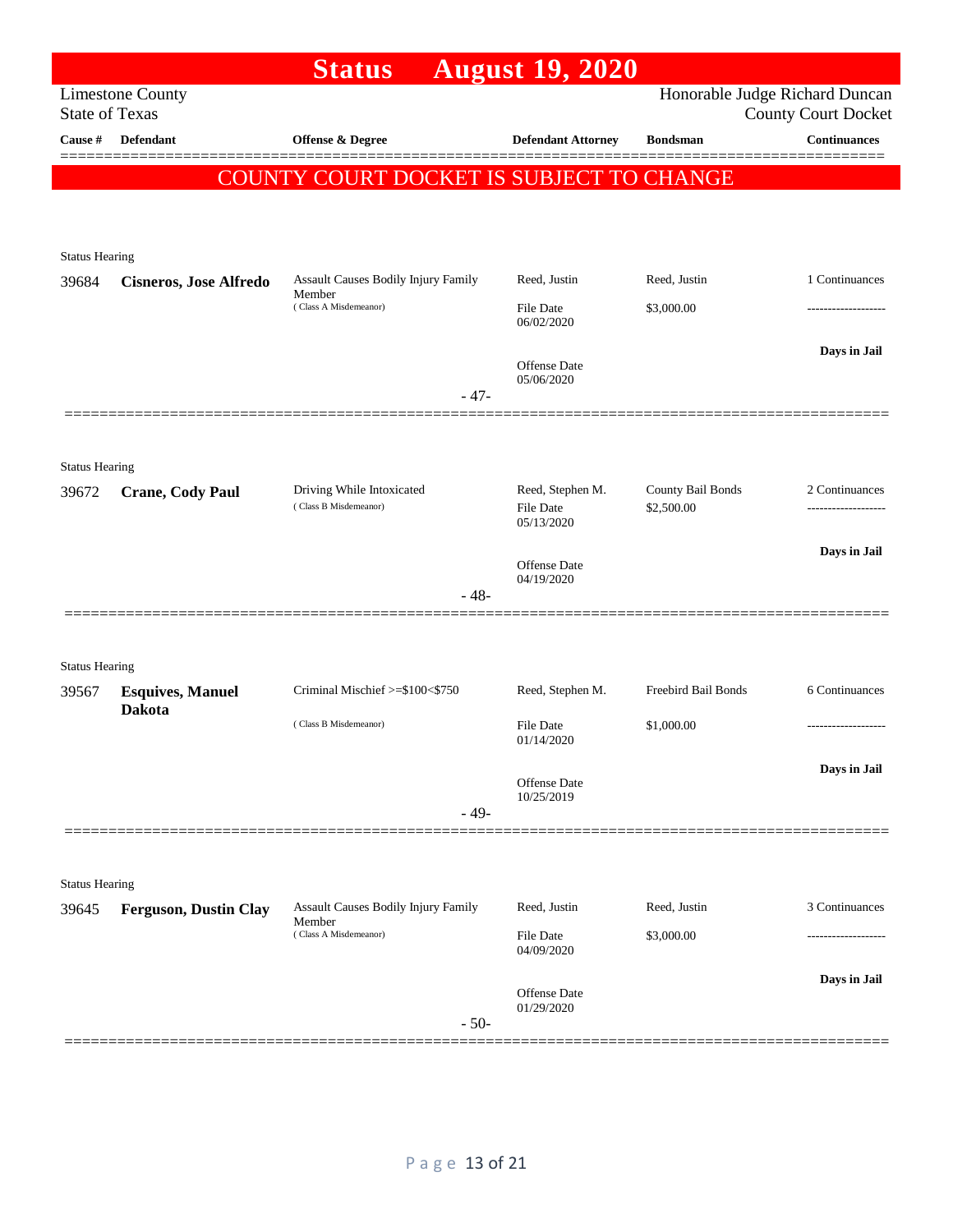|                                |                               | <b>Status</b>                                      | <b>August 19, 2020</b>                             |                                 |                                |
|--------------------------------|-------------------------------|----------------------------------------------------|----------------------------------------------------|---------------------------------|--------------------------------|
| <b>State of Texas</b>          | <b>Limestone County</b>       |                                                    |                                                    | Honorable Judge Richard Duncan  | <b>County Court Docket</b>     |
| Cause #                        | Defendant                     | Offense & Degree                                   | <b>Defendant Attorney</b>                          | <b>Bondsman</b>                 | <b>Continuances</b><br>======= |
|                                |                               | COUNTY COURT DOCKET IS SUBJECT TO CHANGE           |                                                    |                                 |                                |
| <b>Status Hearing</b>          |                               |                                                    |                                                    |                                 |                                |
| 39684                          | <b>Cisneros, Jose Alfredo</b> | Assault Causes Bodily Injury Family<br>Member      | Reed, Justin                                       | Reed, Justin                    | 1 Continuances                 |
|                                |                               | (Class A Misdemeanor)                              | <b>File Date</b><br>06/02/2020                     | \$3,000.00                      |                                |
|                                |                               | $-47-$                                             | <b>Offense Date</b><br>05/06/2020                  |                                 | Days in Jail                   |
| <b>Status Hearing</b>          |                               |                                                    |                                                    |                                 |                                |
| 39672                          | <b>Crane, Cody Paul</b>       | Driving While Intoxicated<br>(Class B Misdemeanor) | Reed, Stephen M.<br><b>File Date</b><br>05/13/2020 | County Bail Bonds<br>\$2,500.00 | 2 Continuances                 |
|                                |                               | $-48-$                                             | <b>Offense Date</b><br>04/19/2020                  |                                 | Days in Jail                   |
| <b>Status Hearing</b>          |                               |                                                    |                                                    |                                 |                                |
| 39567                          | <b>Esquives, Manuel</b>       | Criminal Mischief >=\$100<\$750                    | Reed, Stephen M.                                   | Freebird Bail Bonds             | 6 Continuances                 |
|                                | <b>Dakota</b>                 | (Class B Misdemeanor)                              | <b>File Date</b><br>01/14/2020                     | \$1,000.00                      | -------------------            |
|                                |                               | $-49-$                                             | Offense Date<br>10/25/2019                         |                                 | Days in Jail                   |
|                                |                               |                                                    |                                                    |                                 |                                |
| <b>Status Hearing</b><br>39645 | <b>Ferguson, Dustin Clay</b>  | Assault Causes Bodily Injury Family                | Reed, Justin                                       | Reed, Justin                    | 3 Continuances                 |
|                                |                               | Member<br>(Class A Misdemeanor)                    | <b>File Date</b><br>04/09/2020                     | \$3,000.00                      |                                |
|                                |                               | $-50-$                                             | Offense Date<br>01/29/2020                         |                                 | Days in Jail                   |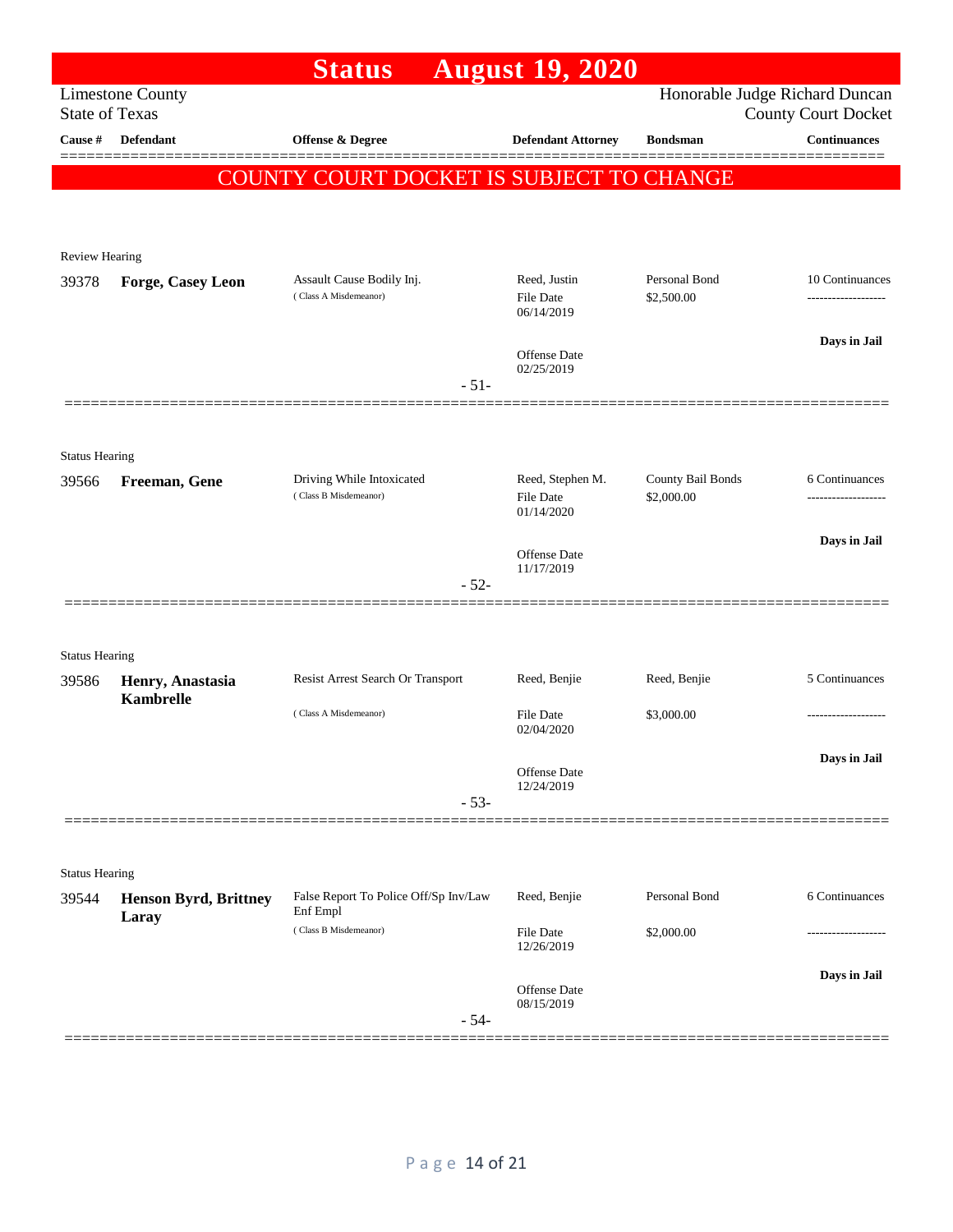|                                |                                      | <b>Status</b>                                      | <b>August 19, 2020</b>         |                                |                            |
|--------------------------------|--------------------------------------|----------------------------------------------------|--------------------------------|--------------------------------|----------------------------|
| <b>State of Texas</b>          | <b>Limestone County</b>              |                                                    |                                | Honorable Judge Richard Duncan | <b>County Court Docket</b> |
| Cause #                        | <b>Defendant</b>                     | Offense & Degree                                   | <b>Defendant Attorney</b>      | <b>Bondsman</b>                | <b>Continuances</b>        |
|                                |                                      | COUNTY COURT DOCKET IS SUBJECT TO CHANGE           |                                |                                |                            |
|                                |                                      |                                                    |                                |                                |                            |
| Review Hearing                 |                                      |                                                    |                                |                                |                            |
| 39378                          | <b>Forge, Casey Leon</b>             | Assault Cause Bodily Inj.                          | Reed, Justin                   | Personal Bond                  | 10 Continuances            |
|                                |                                      | (Class A Misdemeanor)                              | <b>File Date</b><br>06/14/2019 | \$2,500.00                     |                            |
|                                |                                      |                                                    | Offense Date                   |                                | Days in Jail               |
|                                |                                      | $-51-$                                             | 02/25/2019                     |                                |                            |
|                                |                                      |                                                    |                                |                                |                            |
| <b>Status Hearing</b>          |                                      |                                                    |                                |                                |                            |
| 39566                          | Freeman, Gene                        | Driving While Intoxicated<br>(Class B Misdemeanor) | Reed, Stephen M.               | County Bail Bonds              | 6 Continuances             |
|                                |                                      |                                                    | <b>File Date</b><br>01/14/2020 | \$2,000.00                     | -------------------        |
|                                |                                      |                                                    | Offense Date                   |                                | Days in Jail               |
|                                |                                      | $-52-$                                             | 11/17/2019                     |                                |                            |
|                                |                                      |                                                    |                                |                                |                            |
| <b>Status Hearing</b>          |                                      |                                                    |                                |                                |                            |
| 39586                          | Henry, Anastasia<br><b>Kambrelle</b> | Resist Arrest Search Or Transport                  | Reed, Benjie                   | Reed, Benjie                   | 5 Continuances             |
|                                |                                      | (Class A Misdemeanor)                              | File Date<br>02/04/2020        | \$3,000.00                     |                            |
|                                |                                      |                                                    |                                |                                | Days in Jail               |
|                                |                                      |                                                    | Offense Date<br>12/24/2019     |                                |                            |
|                                |                                      | $-53-$                                             |                                |                                |                            |
|                                |                                      |                                                    |                                |                                |                            |
| <b>Status Hearing</b><br>39544 | <b>Henson Byrd, Brittney</b>         | False Report To Police Off/Sp Inv/Law              | Reed, Benjie                   | Personal Bond                  | 6 Continuances             |
|                                | Laray                                | Enf Empl<br>(Class B Misdemeanor)                  | <b>File Date</b>               | \$2,000.00                     | ----------------           |
|                                |                                      |                                                    | 12/26/2019                     |                                |                            |
|                                |                                      |                                                    | Offense Date                   |                                | Days in Jail               |
|                                |                                      | $-54-$                                             | 08/15/2019                     |                                |                            |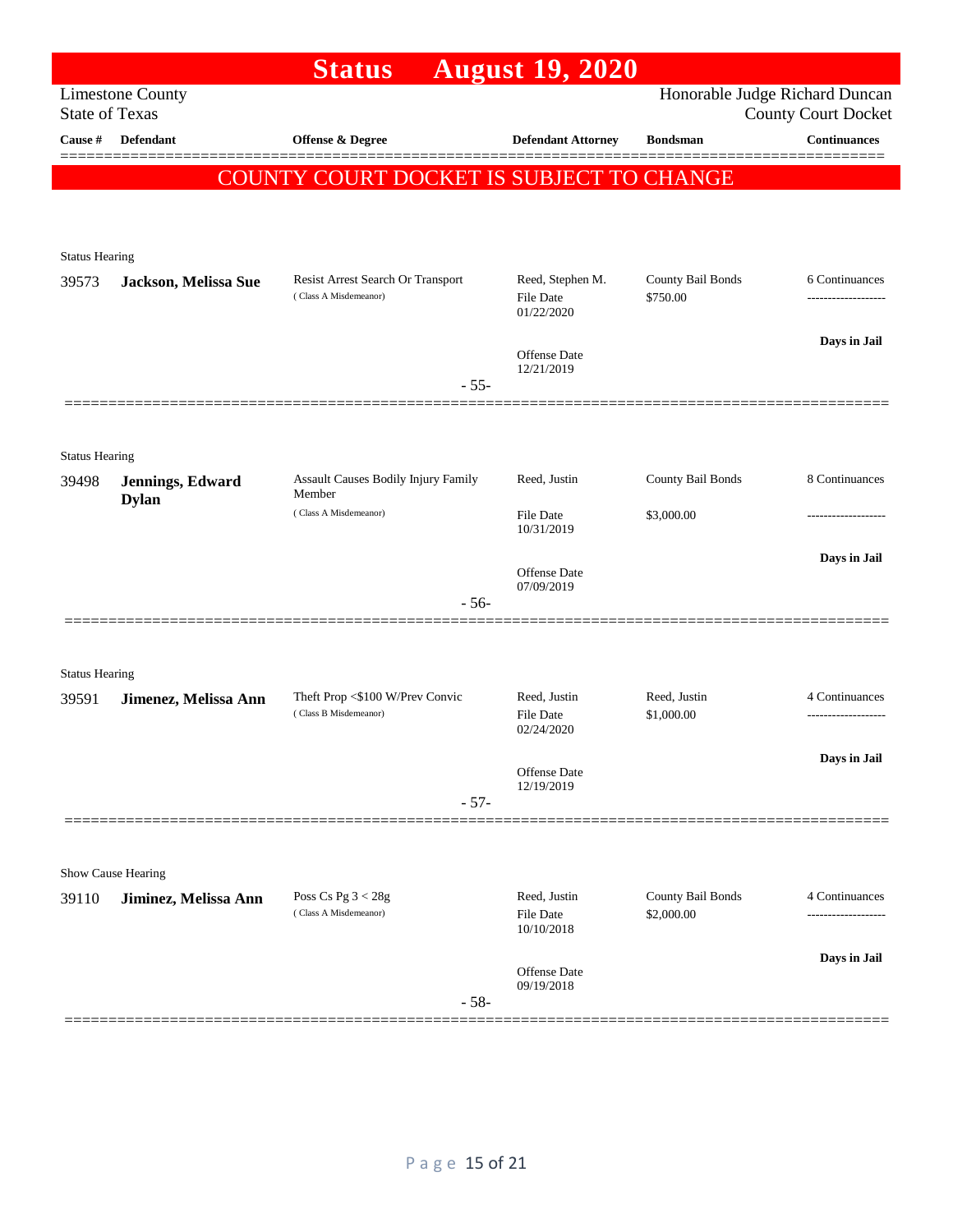|                       |                                            | <b>Status</b>                                              | <b>August 19, 2020</b>                             |                               |                                                              |
|-----------------------|--------------------------------------------|------------------------------------------------------------|----------------------------------------------------|-------------------------------|--------------------------------------------------------------|
| <b>State of Texas</b> | <b>Limestone County</b>                    |                                                            |                                                    |                               | Honorable Judge Richard Duncan<br><b>County Court Docket</b> |
| Cause $\#$            | <b>Defendant</b>                           | <b>Offense &amp; Degree</b>                                | <b>Defendant Attorney</b>                          | <b>Bondsman</b>               | <b>Continuances</b>                                          |
|                       |                                            | COUNTY COURT DOCKET IS SUBJECT TO CHANGE                   |                                                    |                               |                                                              |
|                       |                                            |                                                            |                                                    |                               |                                                              |
|                       |                                            |                                                            |                                                    |                               |                                                              |
| <b>Status Hearing</b> |                                            |                                                            |                                                    |                               |                                                              |
| 39573                 | Jackson, Melissa Sue                       | Resist Arrest Search Or Transport<br>(Class A Misdemeanor) | Reed, Stephen M.<br><b>File Date</b><br>01/22/2020 | County Bail Bonds<br>\$750.00 | 6 Continuances                                               |
|                       |                                            |                                                            | Offense Date<br>12/21/2019                         |                               | Days in Jail                                                 |
|                       |                                            | $-55-$                                                     |                                                    |                               |                                                              |
|                       |                                            |                                                            |                                                    |                               |                                                              |
| <b>Status Hearing</b> |                                            |                                                            |                                                    |                               |                                                              |
| 39498                 | Jennings, Edward<br><b>Dylan</b>           | Assault Causes Bodily Injury Family<br>Member              | Reed, Justin                                       | County Bail Bonds             | 8 Continuances                                               |
|                       |                                            | (Class A Misdemeanor)                                      | <b>File Date</b><br>10/31/2019                     | \$3,000.00                    |                                                              |
|                       |                                            |                                                            |                                                    |                               | Days in Jail                                                 |
|                       |                                            |                                                            | <b>Offense Date</b><br>07/09/2019                  |                               |                                                              |
|                       |                                            | $-56-$                                                     |                                                    |                               |                                                              |
|                       |                                            |                                                            |                                                    |                               |                                                              |
| <b>Status Hearing</b> |                                            |                                                            |                                                    |                               |                                                              |
| 39591                 | Jimenez, Melissa Ann                       | Theft Prop <\$100 W/Prev Convic<br>(Class B Misdemeanor)   | Reed, Justin<br><b>File Date</b><br>02/24/2020     | Reed, Justin<br>\$1,000.00    | 4 Continuances                                               |
|                       |                                            |                                                            | Offense Date                                       |                               | Days in Jail                                                 |
|                       |                                            | $-57-$                                                     | 12/19/2019                                         |                               |                                                              |
|                       |                                            |                                                            |                                                    |                               |                                                              |
|                       |                                            |                                                            |                                                    |                               |                                                              |
| 39110                 | Show Cause Hearing<br>Jiminez, Melissa Ann | Poss Cs Pg $3 < 28g$                                       | Reed, Justin                                       | County Bail Bonds             | 4 Continuances                                               |
|                       |                                            | (Class A Misdemeanor)                                      | File Date<br>10/10/2018                            | \$2,000.00                    |                                                              |
|                       |                                            | $-58-$                                                     | <b>Offense Date</b><br>09/19/2018                  |                               | Days in Jail                                                 |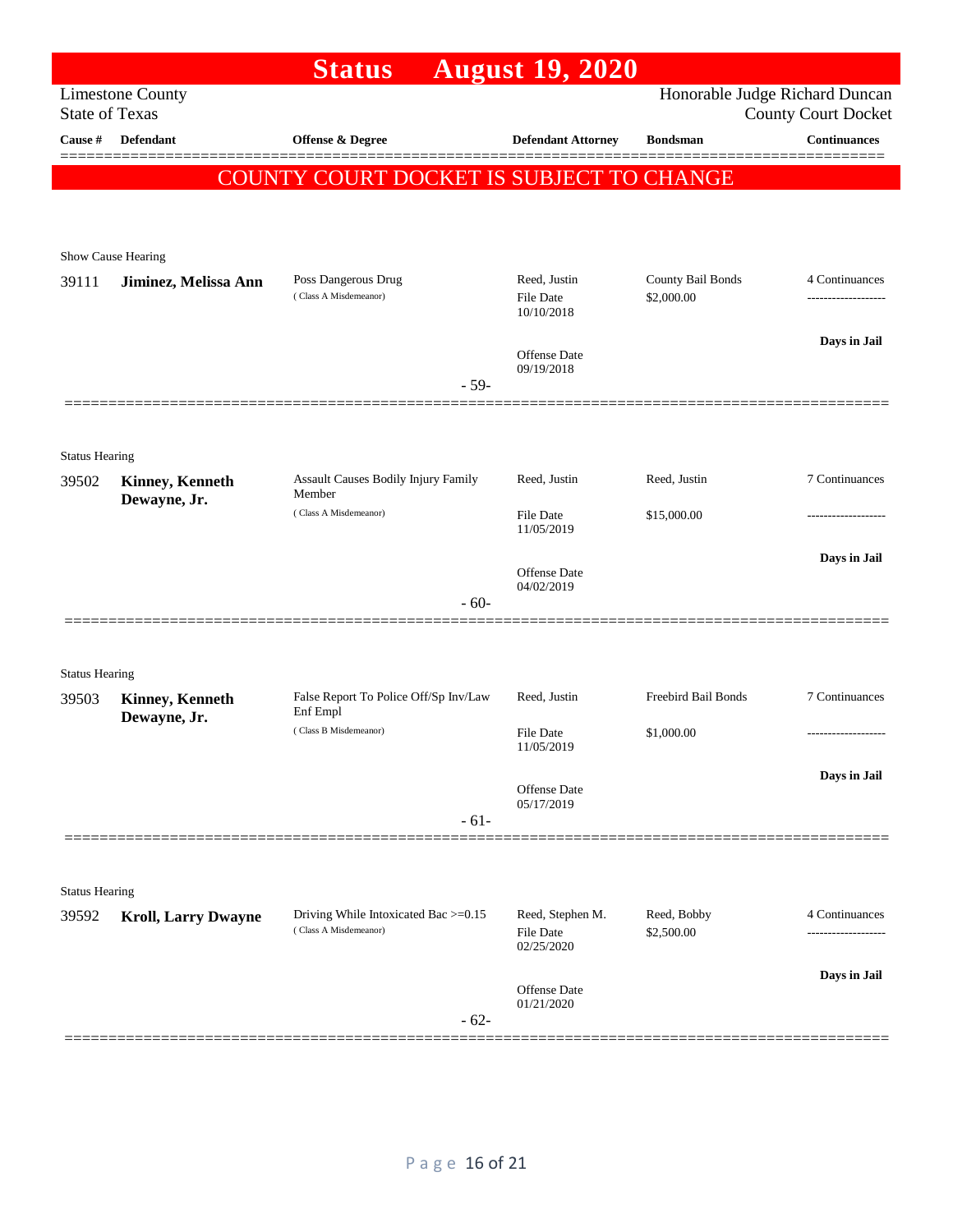|                       |                                 | <b>Status</b>                                                 | <b>August 19, 2020</b>                         |                                 |                                      |
|-----------------------|---------------------------------|---------------------------------------------------------------|------------------------------------------------|---------------------------------|--------------------------------------|
| <b>State of Texas</b> | <b>Limestone County</b>         |                                                               |                                                | Honorable Judge Richard Duncan  | <b>County Court Docket</b>           |
| Cause #               | Defendant                       | Offense & Degree                                              | <b>Defendant Attorney</b>                      | <b>Bondsman</b>                 | <b>Continuances</b>                  |
|                       |                                 | COUNTY COURT DOCKET IS SUBJECT TO CHANGE                      |                                                |                                 |                                      |
|                       |                                 |                                                               |                                                |                                 |                                      |
|                       |                                 |                                                               |                                                |                                 |                                      |
|                       | Show Cause Hearing              |                                                               |                                                |                                 |                                      |
| 39111                 | Jiminez, Melissa Ann            | Poss Dangerous Drug<br>(Class A Misdemeanor)                  | Reed, Justin<br><b>File Date</b><br>10/10/2018 | County Bail Bonds<br>\$2,000.00 | 4 Continuances<br>------------------ |
|                       |                                 |                                                               | Offense Date                                   |                                 | Days in Jail                         |
|                       |                                 | $-59-$                                                        | 09/19/2018                                     |                                 |                                      |
|                       |                                 |                                                               |                                                |                                 |                                      |
| <b>Status Hearing</b> |                                 |                                                               |                                                |                                 |                                      |
| 39502                 | <b>Kinney, Kenneth</b>          | <b>Assault Causes Bodily Injury Family</b><br>Member          | Reed, Justin                                   | Reed, Justin                    | 7 Continuances                       |
|                       | Dewayne, Jr.                    | (Class A Misdemeanor)                                         | File Date                                      | \$15,000.00                     |                                      |
|                       |                                 |                                                               | 11/05/2019                                     |                                 |                                      |
|                       |                                 |                                                               | Offense Date<br>04/02/2019                     |                                 | Days in Jail                         |
|                       |                                 | $-60-$                                                        |                                                |                                 |                                      |
|                       |                                 |                                                               |                                                |                                 |                                      |
| <b>Status Hearing</b> |                                 |                                                               |                                                |                                 |                                      |
| 39503                 | Kinney, Kenneth<br>Dewayne, Jr. | False Report To Police Off/Sp Inv/Law<br>Enf Empl             | Reed, Justin                                   | Freebird Bail Bonds             | 7 Continuances                       |
|                       |                                 | (Class B Misdemeanor)                                         | File Date<br>11/05/2019                        | \$1,000.00                      | ------------------                   |
|                       |                                 |                                                               |                                                |                                 | Days in Jail                         |
|                       |                                 |                                                               | Offense Date<br>05/17/2019                     |                                 |                                      |
|                       |                                 | $-61-$                                                        |                                                |                                 |                                      |
|                       |                                 |                                                               |                                                |                                 |                                      |
| <b>Status Hearing</b> |                                 |                                                               |                                                |                                 |                                      |
| 39592                 | <b>Kroll, Larry Dwayne</b>      | Driving While Intoxicated Bac >=0.15<br>(Class A Misdemeanor) | Reed, Stephen M.<br>File Date<br>02/25/2020    | Reed, Bobby<br>\$2,500.00       | 4 Continuances<br>                   |
|                       |                                 |                                                               |                                                |                                 | Days in Jail                         |
|                       |                                 | $-62-$                                                        | Offense Date<br>01/21/2020                     |                                 |                                      |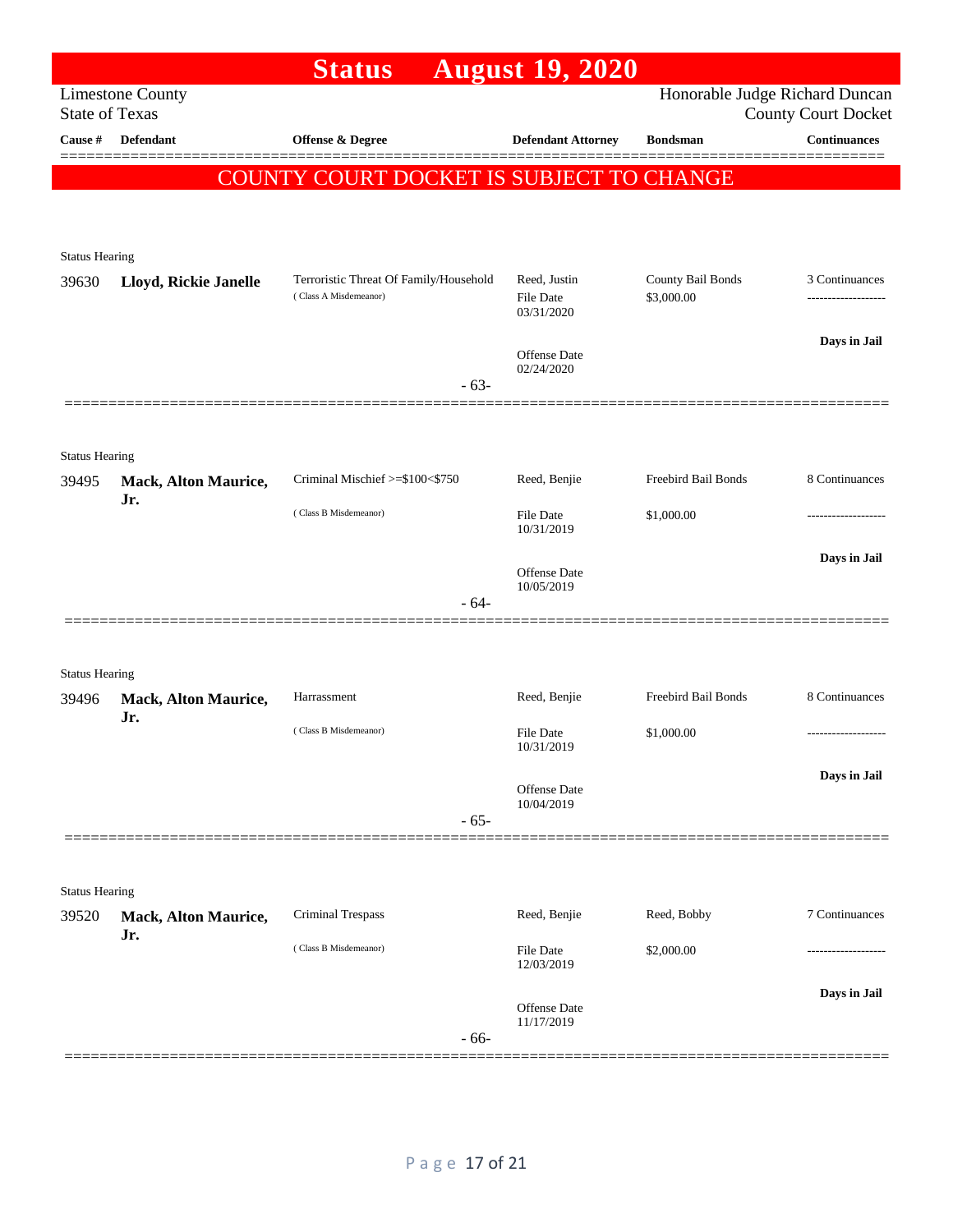|                                |                                    | <b>Status</b>                                                   | <b>August 19, 2020</b>                  |                                 |                            |
|--------------------------------|------------------------------------|-----------------------------------------------------------------|-----------------------------------------|---------------------------------|----------------------------|
| <b>State of Texas</b>          | <b>Limestone County</b>            |                                                                 |                                         | Honorable Judge Richard Duncan  | <b>County Court Docket</b> |
| Cause #                        | <b>Defendant</b>                   | <b>Offense &amp; Degree</b>                                     | <b>Defendant Attorney</b>               | <b>Bondsman</b>                 | <b>Continuances</b>        |
|                                |                                    | COUNTY COURT DOCKET IS SUBJECT TO CHANGE                        |                                         |                                 |                            |
|                                |                                    |                                                                 |                                         |                                 |                            |
|                                |                                    |                                                                 |                                         |                                 |                            |
| <b>Status Hearing</b>          |                                    |                                                                 |                                         |                                 |                            |
| 39630                          | Lloyd, Rickie Janelle              | Terroristic Threat Of Family/Household<br>(Class A Misdemeanor) | Reed, Justin<br>File Date<br>03/31/2020 | County Bail Bonds<br>\$3,000.00 | 3 Continuances             |
|                                |                                    |                                                                 | <b>Offense</b> Date                     |                                 | Days in Jail               |
|                                |                                    | $-63-$                                                          | 02/24/2020                              |                                 |                            |
|                                |                                    |                                                                 |                                         |                                 |                            |
| <b>Status Hearing</b>          |                                    |                                                                 |                                         |                                 |                            |
| 39495                          | <b>Mack, Alton Maurice,</b><br>Jr. | Criminal Mischief >=\$100<\$750                                 | Reed, Benjie                            | Freebird Bail Bonds             | 8 Continuances             |
|                                |                                    | (Class B Misdemeanor)                                           | <b>File Date</b><br>10/31/2019          | \$1,000.00                      |                            |
|                                |                                    |                                                                 | Offense Date                            |                                 | Days in Jail               |
|                                |                                    | $-64-$                                                          | 10/05/2019                              |                                 |                            |
|                                |                                    |                                                                 |                                         |                                 |                            |
| <b>Status Hearing</b>          |                                    |                                                                 |                                         |                                 |                            |
| 39496                          | <b>Mack, Alton Maurice,</b>        | Harrassment                                                     | Reed, Benjie                            | Freebird Bail Bonds             | 8 Continuances             |
|                                | Jr.                                | (Class B Misdemeanor)                                           | File Date<br>10/31/2019                 | \$1,000.00                      |                            |
|                                |                                    |                                                                 |                                         |                                 | Days in Jail               |
|                                |                                    |                                                                 | Offense Date<br>10/04/2019              |                                 |                            |
|                                |                                    | $-65-$                                                          |                                         |                                 |                            |
|                                |                                    |                                                                 |                                         |                                 |                            |
| <b>Status Hearing</b><br>39520 | <b>Mack, Alton Maurice,</b>        | <b>Criminal Trespass</b>                                        | Reed, Benjie                            | Reed, Bobby                     | 7 Continuances             |
|                                | Jr.                                | (Class B Misdemeanor)                                           | <b>File Date</b>                        | \$2,000.00                      |                            |
|                                |                                    |                                                                 | 12/03/2019                              |                                 |                            |
|                                |                                    |                                                                 | <b>Offense</b> Date                     |                                 | Days in Jail               |
|                                |                                    | $-66-$                                                          | 11/17/2019                              |                                 |                            |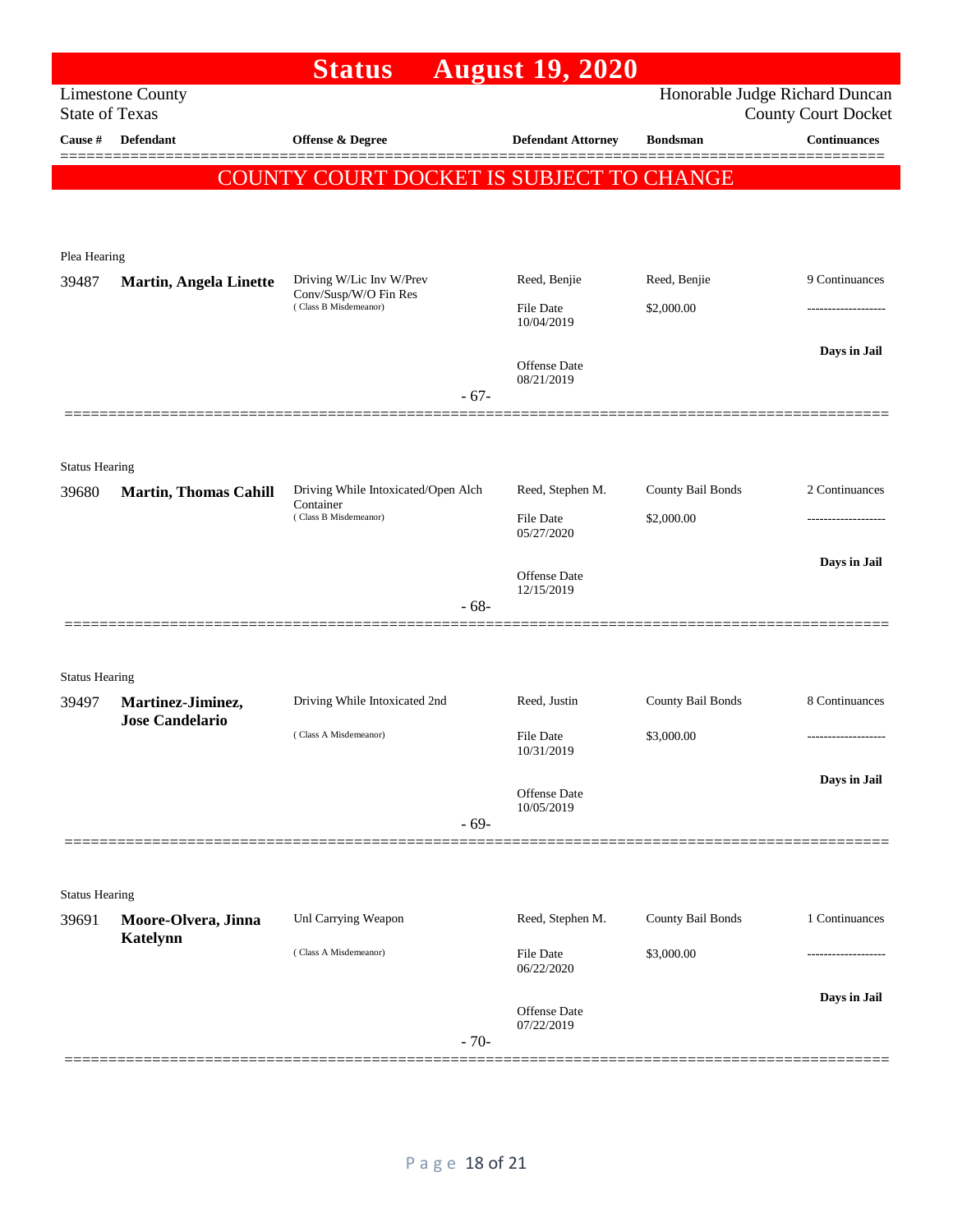|                       |                                        | <b>Status</b>                                     |        | <b>August 19, 2020</b>            |                                |                            |
|-----------------------|----------------------------------------|---------------------------------------------------|--------|-----------------------------------|--------------------------------|----------------------------|
| <b>State of Texas</b> | <b>Limestone County</b>                |                                                   |        |                                   | Honorable Judge Richard Duncan | <b>County Court Docket</b> |
| Cause #               | <b>Defendant</b>                       | Offense & Degree                                  |        | <b>Defendant Attorney</b>         | <b>Bondsman</b>                | <b>Continuances</b>        |
|                       |                                        | COUNTY COURT DOCKET IS SUBJECT TO CHANGE          |        |                                   |                                |                            |
| Plea Hearing          |                                        |                                                   |        |                                   |                                |                            |
| 39487                 | <b>Martin, Angela Linette</b>          | Driving W/Lic Inv W/Prev<br>Conv/Susp/W/O Fin Res |        | Reed, Benjie                      | Reed, Benjie                   | 9 Continuances             |
|                       |                                        | (Class B Misdemeanor)                             |        | File Date<br>10/04/2019           | \$2,000.00                     | -----------------          |
|                       |                                        |                                                   | $-67-$ | <b>Offense Date</b><br>08/21/2019 |                                | Days in Jail               |
| <b>Status Hearing</b> |                                        |                                                   |        |                                   |                                |                            |
| 39680                 | <b>Martin, Thomas Cahill</b>           | Driving While Intoxicated/Open Alch<br>Container  |        | Reed, Stephen M.                  | County Bail Bonds              | 2 Continuances             |
|                       |                                        | (Class B Misdemeanor)                             |        | <b>File Date</b><br>05/27/2020    | \$2,000.00                     |                            |
|                       |                                        |                                                   | $-68-$ | <b>Offense</b> Date<br>12/15/2019 |                                | Days in Jail               |
| <b>Status Hearing</b> |                                        |                                                   |        |                                   |                                |                            |
| 39497                 | Martinez-Jiminez,                      | Driving While Intoxicated 2nd                     |        | Reed, Justin                      | County Bail Bonds              | 8 Continuances             |
|                       | <b>Jose Candelario</b>                 | (Class A Misdemeanor)                             |        | <b>File Date</b><br>10/31/2019    | \$3,000.00                     | -------------------        |
|                       |                                        |                                                   | $-69-$ | <b>Offense Date</b><br>10/05/2019 |                                | Days in Jail               |
|                       |                                        |                                                   |        |                                   |                                |                            |
| <b>Status Hearing</b> |                                        | Unl Carrying Weapon                               |        | Reed, Stephen M.                  | County Bail Bonds              | 1 Continuances             |
| 39691                 | Moore-Olvera, Jinna<br><b>Katelynn</b> | (Class A Misdemeanor)                             |        | File Date                         | \$3,000.00                     |                            |
|                       |                                        |                                                   |        | 06/22/2020                        |                                |                            |
|                       |                                        |                                                   | $-70-$ | Offense Date<br>07/22/2019        |                                | Days in Jail               |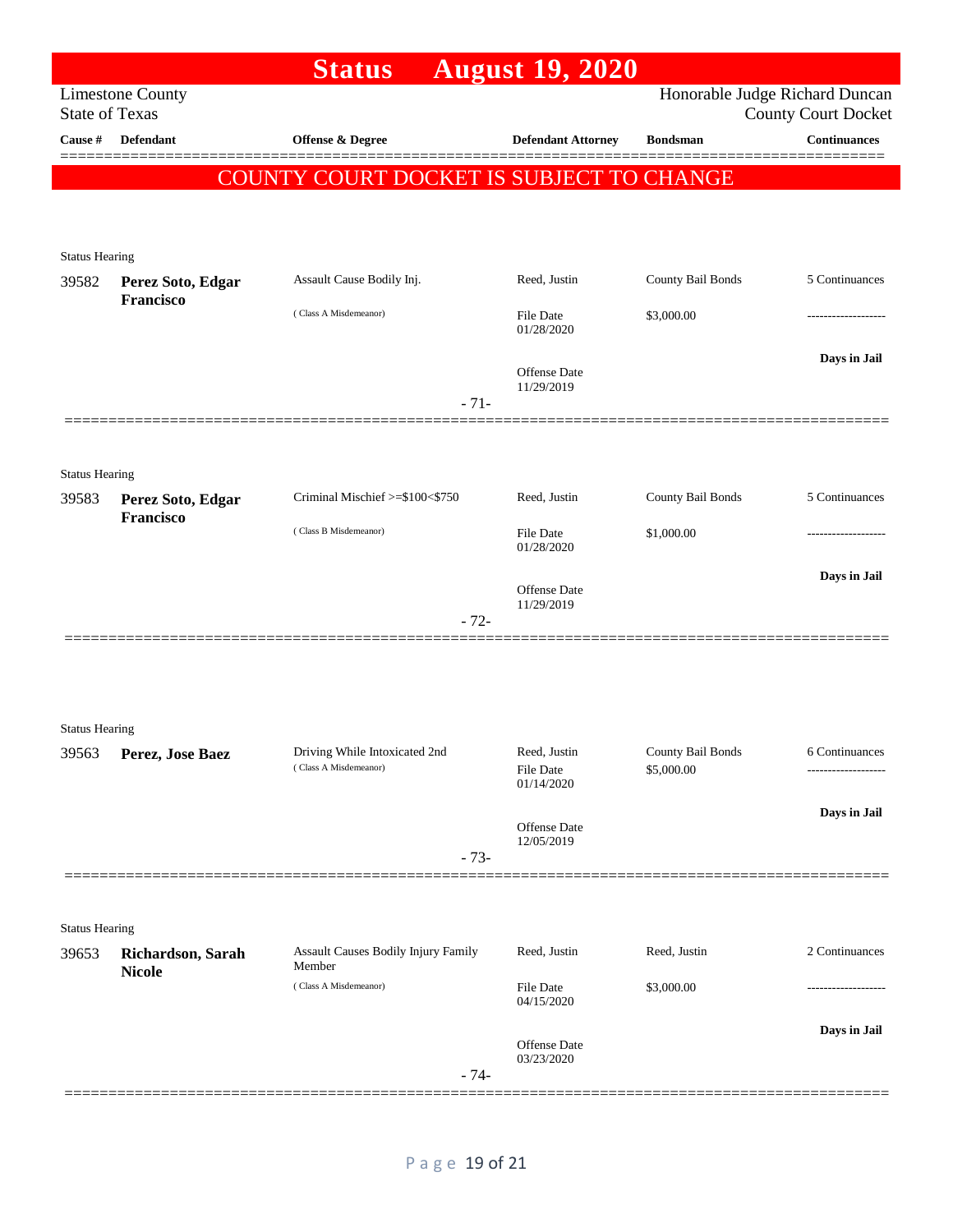|                                |                         | <b>Status</b>                                          | <b>August 19, 2020</b>         |                                 |                                                              |
|--------------------------------|-------------------------|--------------------------------------------------------|--------------------------------|---------------------------------|--------------------------------------------------------------|
| <b>State of Texas</b>          | <b>Limestone County</b> |                                                        |                                |                                 | Honorable Judge Richard Duncan<br><b>County Court Docket</b> |
| Cause #                        | Defendant               | Offense & Degree                                       | <b>Defendant Attorney</b>      | <b>Bondsman</b>                 | <b>Continuances</b>                                          |
|                                |                         | COUNTY COURT DOCKET IS SUBJECT TO CHANGE               |                                |                                 |                                                              |
|                                |                         |                                                        |                                |                                 |                                                              |
|                                |                         |                                                        |                                |                                 |                                                              |
| <b>Status Hearing</b><br>39582 | Perez Soto, Edgar       | Assault Cause Bodily Inj.                              | Reed, Justin                   | County Bail Bonds               | 5 Continuances                                               |
|                                | Francisco               |                                                        |                                |                                 |                                                              |
|                                |                         | (Class A Misdemeanor)                                  | <b>File Date</b><br>01/28/2020 | \$3,000.00                      |                                                              |
|                                |                         |                                                        | <b>Offense Date</b>            |                                 | Days in Jail                                                 |
|                                |                         | $-71-$                                                 | 11/29/2019                     |                                 |                                                              |
|                                |                         |                                                        |                                |                                 |                                                              |
|                                |                         |                                                        |                                |                                 |                                                              |
| <b>Status Hearing</b><br>39583 | Perez Soto, Edgar       | Criminal Mischief >=\$100<\$750                        | Reed, Justin                   | County Bail Bonds               | 5 Continuances                                               |
|                                | Francisco               |                                                        |                                |                                 |                                                              |
|                                |                         | (Class B Misdemeanor)                                  | <b>File Date</b><br>01/28/2020 | \$1,000.00                      |                                                              |
|                                |                         |                                                        | Offense Date                   |                                 | Days in Jail                                                 |
|                                |                         | $-72-$                                                 | 11/29/2019                     |                                 |                                                              |
|                                |                         |                                                        |                                |                                 |                                                              |
|                                |                         |                                                        |                                |                                 |                                                              |
|                                |                         |                                                        |                                |                                 |                                                              |
| <b>Status Hearing</b>          |                         |                                                        |                                |                                 |                                                              |
| 39563                          | Perez, Jose Baez        | Driving While Intoxicated 2nd<br>(Class A Misdemeanor) | Reed, Justin<br>File Date      | County Bail Bonds<br>\$5,000.00 | 6 Continuances<br>-------------                              |
|                                |                         |                                                        | 01/14/2020                     |                                 |                                                              |
|                                |                         |                                                        | Offense Date<br>12/05/2019     |                                 | Days in Jail                                                 |
|                                |                         | $-73-$                                                 |                                |                                 |                                                              |
|                                |                         |                                                        |                                |                                 |                                                              |
| <b>Status Hearing</b>          |                         |                                                        |                                |                                 |                                                              |
| 39653                          | Richardson, Sarah       | Assault Causes Bodily Injury Family<br>Member          | Reed, Justin                   | Reed, Justin                    | 2 Continuances                                               |
|                                | <b>Nicole</b>           | (Class A Misdemeanor)                                  | File Date                      | \$3,000.00                      | -------------------                                          |
|                                |                         |                                                        | 04/15/2020                     |                                 |                                                              |
|                                |                         |                                                        | Offense Date<br>03/23/2020     |                                 | Days in Jail                                                 |
|                                |                         | $-74-$                                                 |                                |                                 |                                                              |
|                                |                         |                                                        |                                |                                 |                                                              |

## P a g e 19 of 21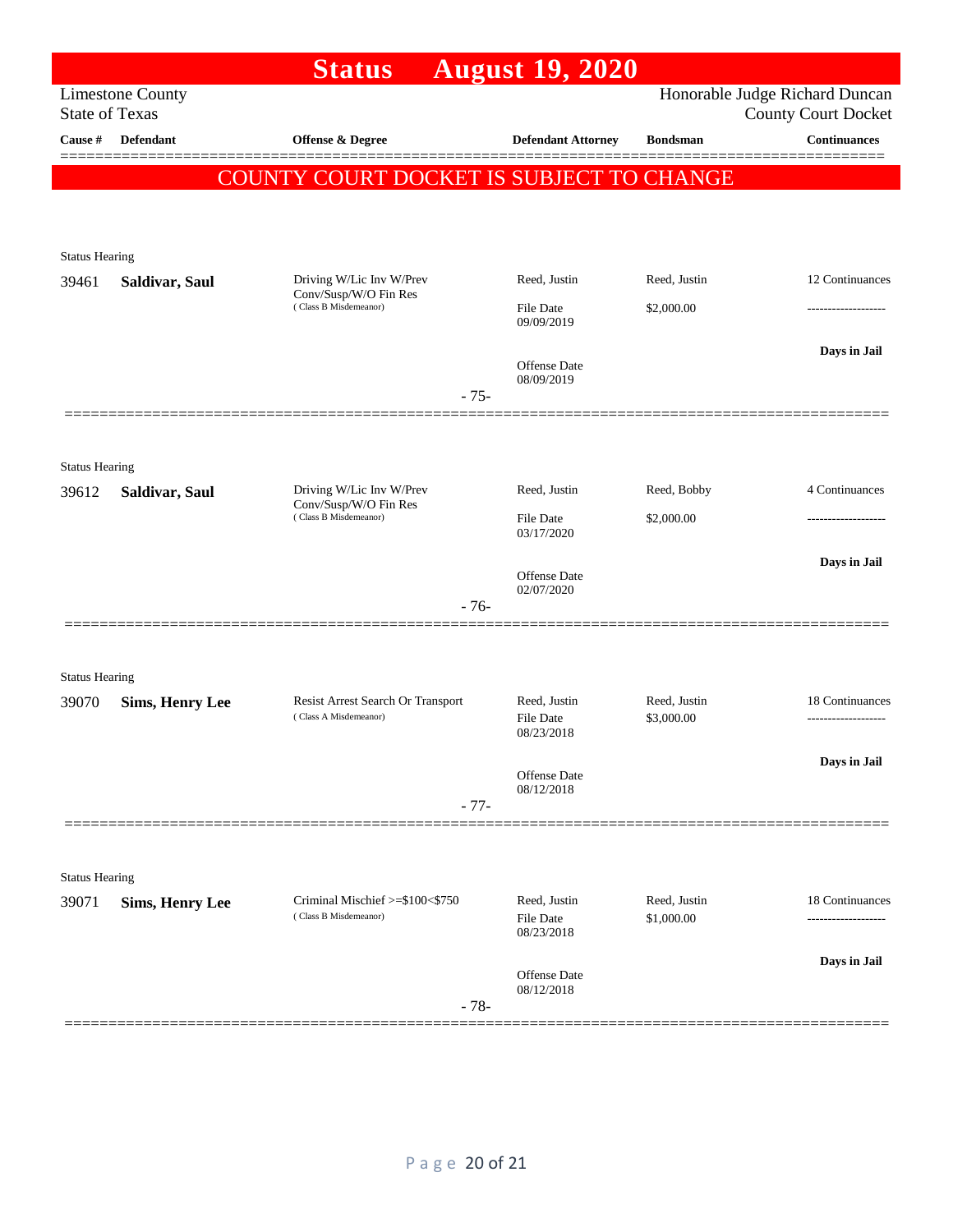|                                |                         | <b>Status</b>                                  | <b>August 19, 2020</b>            |                 |                                                              |
|--------------------------------|-------------------------|------------------------------------------------|-----------------------------------|-----------------|--------------------------------------------------------------|
| <b>State of Texas</b>          | <b>Limestone County</b> |                                                |                                   |                 | Honorable Judge Richard Duncan<br><b>County Court Docket</b> |
| Cause #                        | Defendant               | Offense & Degree                               | <b>Defendant Attorney</b>         | <b>Bondsman</b> | <b>Continuances</b>                                          |
|                                |                         | COUNTY COURT DOCKET IS SUBJECT TO CHANGE       |                                   |                 |                                                              |
|                                |                         |                                                |                                   |                 |                                                              |
| <b>Status Hearing</b>          |                         |                                                |                                   |                 |                                                              |
| 39461                          | Saldivar, Saul          | Driving W/Lic Inv W/Prev                       | Reed, Justin                      | Reed, Justin    | 12 Continuances                                              |
|                                |                         | Conv/Susp/W/O Fin Res<br>(Class B Misdemeanor) | <b>File Date</b><br>09/09/2019    | \$2,000.00      |                                                              |
|                                |                         |                                                |                                   |                 | Days in Jail                                                 |
|                                |                         |                                                | <b>Offense Date</b><br>08/09/2019 |                 |                                                              |
|                                |                         | $-75-$                                         |                                   |                 |                                                              |
|                                |                         |                                                |                                   |                 |                                                              |
| <b>Status Hearing</b><br>39612 | Saldivar, Saul          | Driving W/Lic Inv W/Prev                       | Reed, Justin                      | Reed, Bobby     | 4 Continuances                                               |
|                                |                         | Conv/Susp/W/O Fin Res<br>(Class B Misdemeanor) | File Date                         | \$2,000.00      |                                                              |
|                                |                         |                                                | 03/17/2020                        |                 | Days in Jail                                                 |
|                                |                         |                                                | Offense Date<br>02/07/2020        |                 |                                                              |
|                                |                         | $-76-$                                         |                                   |                 |                                                              |
|                                |                         |                                                |                                   |                 |                                                              |
| <b>Status Hearing</b>          |                         | Resist Arrest Search Or Transport              | Reed, Justin                      | Reed, Justin    | 18 Continuances                                              |
| 39070                          | <b>Sims, Henry Lee</b>  | (Class A Misdemeanor)                          | <b>File Date</b><br>08/23/2018    | \$3,000.00      | -------------------                                          |
|                                |                         |                                                |                                   |                 | Days in Jail                                                 |
|                                |                         |                                                | <b>Offense Date</b><br>08/12/2018 |                 |                                                              |
|                                |                         | $-77-$                                         |                                   |                 |                                                              |
|                                |                         |                                                |                                   |                 |                                                              |
| <b>Status Hearing</b><br>39071 | <b>Sims, Henry Lee</b>  | Criminal Mischief >=\$100<\$750                | Reed, Justin                      | Reed, Justin    | 18 Continuances                                              |
|                                |                         | (Class B Misdemeanor)                          | <b>File Date</b><br>08/23/2018    | \$1,000.00      | -----------------                                            |
|                                |                         |                                                |                                   |                 | Days in Jail                                                 |
|                                |                         | $-78-$                                         | <b>Offense Date</b><br>08/12/2018 |                 |                                                              |
|                                |                         |                                                |                                   |                 |                                                              |